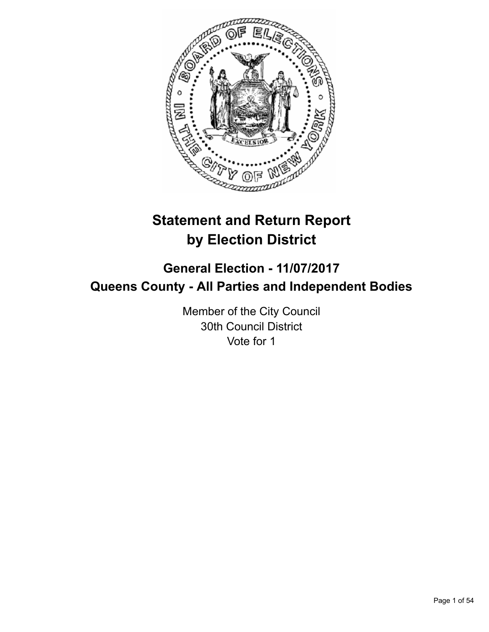

# **Statement and Return Report by Election District**

# **General Election - 11/07/2017 Queens County - All Parties and Independent Bodies**

Member of the City Council 30th Council District Vote for 1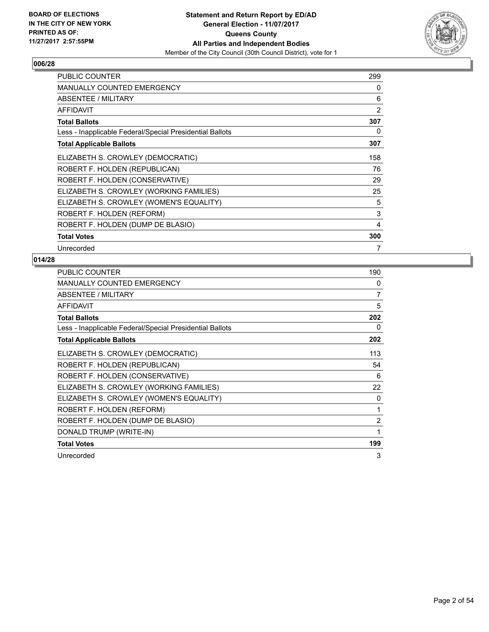

| <b>PUBLIC COUNTER</b>                                    | 299            |
|----------------------------------------------------------|----------------|
| <b>MANUALLY COUNTED EMERGENCY</b>                        | 0              |
| <b>ABSENTEE / MILITARY</b>                               | 6              |
| <b>AFFIDAVIT</b>                                         | $\overline{2}$ |
| <b>Total Ballots</b>                                     | 307            |
| Less - Inapplicable Federal/Special Presidential Ballots | 0              |
| <b>Total Applicable Ballots</b>                          | 307            |
| ELIZABETH S. CROWLEY (DEMOCRATIC)                        | 158            |
| ROBERT F. HOLDEN (REPUBLICAN)                            | 76             |
| ROBERT F. HOLDEN (CONSERVATIVE)                          | 29             |
| ELIZABETH S. CROWLEY (WORKING FAMILIES)                  | 25             |
| ELIZABETH S. CROWLEY (WOMEN'S EQUALITY)                  | 5              |
| ROBERT F. HOLDEN (REFORM)                                | 3              |
| ROBERT F. HOLDEN (DUMP DE BLASIO)                        | 4              |
| <b>Total Votes</b>                                       | 300            |
| Unrecorded                                               | 7              |

| <b>PUBLIC COUNTER</b>                                    | 190            |
|----------------------------------------------------------|----------------|
| <b>MANUALLY COUNTED EMERGENCY</b>                        | 0              |
| ABSENTEE / MILITARY                                      | 7              |
| <b>AFFIDAVIT</b>                                         | 5              |
| <b>Total Ballots</b>                                     | 202            |
| Less - Inapplicable Federal/Special Presidential Ballots | 0              |
| <b>Total Applicable Ballots</b>                          | 202            |
| ELIZABETH S. CROWLEY (DEMOCRATIC)                        | 113            |
| ROBERT F. HOLDEN (REPUBLICAN)                            | 54             |
| ROBERT F. HOLDEN (CONSERVATIVE)                          | 6              |
| ELIZABETH S. CROWLEY (WORKING FAMILIES)                  | 22             |
| ELIZABETH S. CROWLEY (WOMEN'S EQUALITY)                  | 0              |
| ROBERT F. HOLDEN (REFORM)                                | 1              |
| ROBERT F. HOLDEN (DUMP DE BLASIO)                        | $\overline{2}$ |
| DONALD TRUMP (WRITE-IN)                                  | 1              |
| <b>Total Votes</b>                                       | 199            |
| Unrecorded                                               | 3              |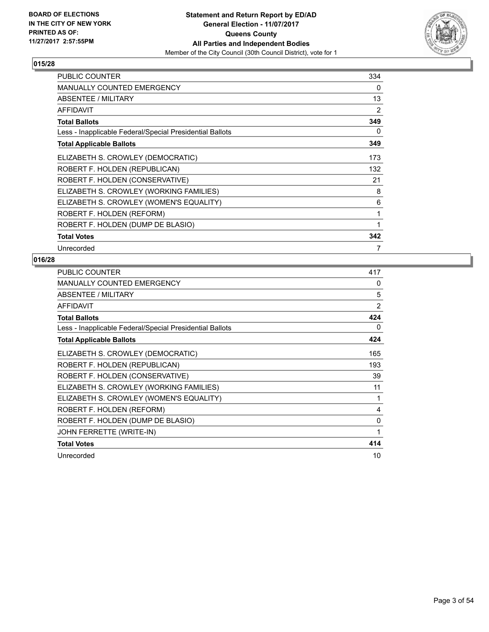

| <b>PUBLIC COUNTER</b>                                    | 334 |
|----------------------------------------------------------|-----|
| <b>MANUALLY COUNTED EMERGENCY</b>                        | 0   |
| ABSENTEE / MILITARY                                      | 13  |
| <b>AFFIDAVIT</b>                                         | 2   |
| <b>Total Ballots</b>                                     | 349 |
| Less - Inapplicable Federal/Special Presidential Ballots | 0   |
| <b>Total Applicable Ballots</b>                          | 349 |
| ELIZABETH S. CROWLEY (DEMOCRATIC)                        | 173 |
| ROBERT F. HOLDEN (REPUBLICAN)                            | 132 |
| ROBERT F. HOLDEN (CONSERVATIVE)                          | 21  |
| ELIZABETH S. CROWLEY (WORKING FAMILIES)                  | 8   |
| ELIZABETH S. CROWLEY (WOMEN'S EQUALITY)                  | 6   |
| ROBERT F. HOLDEN (REFORM)                                | 1   |
| ROBERT F. HOLDEN (DUMP DE BLASIO)                        | 1   |
| <b>Total Votes</b>                                       | 342 |
| Unrecorded                                               | 7   |

| <b>PUBLIC COUNTER</b>                                    | 417            |
|----------------------------------------------------------|----------------|
| <b>MANUALLY COUNTED EMERGENCY</b>                        | 0              |
| ABSENTEE / MILITARY                                      | 5              |
| <b>AFFIDAVIT</b>                                         | $\overline{2}$ |
| <b>Total Ballots</b>                                     | 424            |
| Less - Inapplicable Federal/Special Presidential Ballots | 0              |
| <b>Total Applicable Ballots</b>                          | 424            |
| ELIZABETH S. CROWLEY (DEMOCRATIC)                        | 165            |
| ROBERT F. HOLDEN (REPUBLICAN)                            | 193            |
| ROBERT F. HOLDEN (CONSERVATIVE)                          | 39             |
| ELIZABETH S. CROWLEY (WORKING FAMILIES)                  | 11             |
| ELIZABETH S. CROWLEY (WOMEN'S EQUALITY)                  | 1              |
| ROBERT F. HOLDEN (REFORM)                                | 4              |
| ROBERT F. HOLDEN (DUMP DE BLASIO)                        | 0              |
| JOHN FERRETTE (WRITE-IN)                                 | 1              |
| <b>Total Votes</b>                                       | 414            |
| Unrecorded                                               | 10             |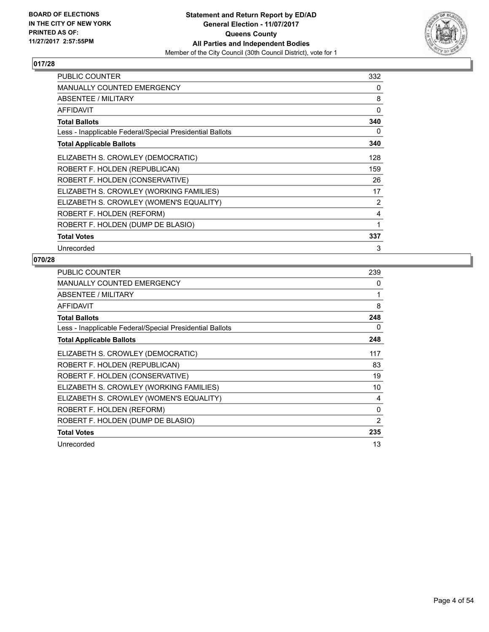

| <b>PUBLIC COUNTER</b>                                    | 332 |
|----------------------------------------------------------|-----|
| <b>MANUALLY COUNTED EMERGENCY</b>                        | 0   |
| ABSENTEE / MILITARY                                      | 8   |
| <b>AFFIDAVIT</b>                                         | 0   |
| <b>Total Ballots</b>                                     | 340 |
| Less - Inapplicable Federal/Special Presidential Ballots | 0   |
| <b>Total Applicable Ballots</b>                          | 340 |
| ELIZABETH S. CROWLEY (DEMOCRATIC)                        | 128 |
| ROBERT F. HOLDEN (REPUBLICAN)                            | 159 |
| ROBERT F. HOLDEN (CONSERVATIVE)                          | 26  |
| ELIZABETH S. CROWLEY (WORKING FAMILIES)                  | 17  |
| ELIZABETH S. CROWLEY (WOMEN'S EQUALITY)                  | 2   |
| ROBERT F. HOLDEN (REFORM)                                | 4   |
| ROBERT F. HOLDEN (DUMP DE BLASIO)                        | 1   |
| <b>Total Votes</b>                                       | 337 |
| Unrecorded                                               | 3   |

| <b>PUBLIC COUNTER</b>                                    | 239          |
|----------------------------------------------------------|--------------|
| <b>MANUALLY COUNTED EMERGENCY</b>                        | 0            |
| ABSENTEE / MILITARY                                      |              |
| <b>AFFIDAVIT</b>                                         | 8            |
| <b>Total Ballots</b>                                     | 248          |
| Less - Inapplicable Federal/Special Presidential Ballots | 0            |
| <b>Total Applicable Ballots</b>                          | 248          |
| ELIZABETH S. CROWLEY (DEMOCRATIC)                        | 117          |
| ROBERT F. HOLDEN (REPUBLICAN)                            | 83           |
| ROBERT F. HOLDEN (CONSERVATIVE)                          | 19           |
| ELIZABETH S. CROWLEY (WORKING FAMILIES)                  | 10           |
| ELIZABETH S. CROWLEY (WOMEN'S EQUALITY)                  | 4            |
| ROBERT F. HOLDEN (REFORM)                                | $\mathbf{0}$ |
| ROBERT F. HOLDEN (DUMP DE BLASIO)                        | 2            |
| <b>Total Votes</b>                                       | 235          |
| Unrecorded                                               | 13           |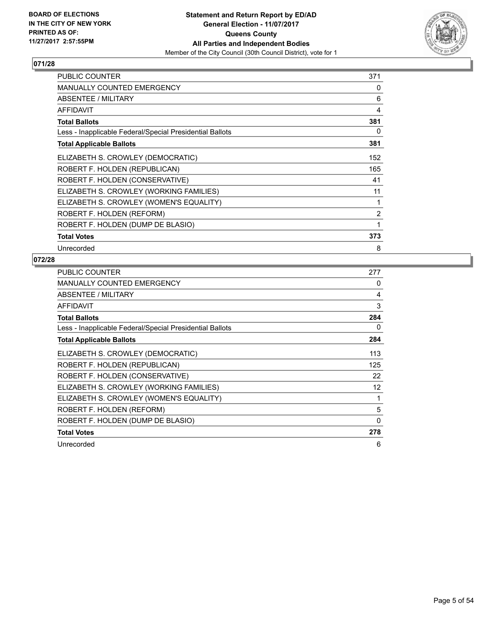

| <b>PUBLIC COUNTER</b>                                    | 371 |
|----------------------------------------------------------|-----|
| <b>MANUALLY COUNTED EMERGENCY</b>                        | 0   |
| ABSENTEE / MILITARY                                      | 6   |
| <b>AFFIDAVIT</b>                                         | 4   |
| <b>Total Ballots</b>                                     | 381 |
| Less - Inapplicable Federal/Special Presidential Ballots | 0   |
| <b>Total Applicable Ballots</b>                          | 381 |
| ELIZABETH S. CROWLEY (DEMOCRATIC)                        | 152 |
| ROBERT F. HOLDEN (REPUBLICAN)                            | 165 |
| ROBERT F. HOLDEN (CONSERVATIVE)                          | 41  |
| ELIZABETH S. CROWLEY (WORKING FAMILIES)                  | 11  |
| ELIZABETH S. CROWLEY (WOMEN'S EQUALITY)                  | 1   |
| ROBERT F. HOLDEN (REFORM)                                | 2   |
| ROBERT F. HOLDEN (DUMP DE BLASIO)                        | 1   |
| <b>Total Votes</b>                                       | 373 |
| Unrecorded                                               | 8   |

| <b>PUBLIC COUNTER</b>                                    | 277               |
|----------------------------------------------------------|-------------------|
| <b>MANUALLY COUNTED EMERGENCY</b>                        | 0                 |
| ABSENTEE / MILITARY                                      | 4                 |
| <b>AFFIDAVIT</b>                                         | 3                 |
| <b>Total Ballots</b>                                     | 284               |
| Less - Inapplicable Federal/Special Presidential Ballots | 0                 |
| <b>Total Applicable Ballots</b>                          | 284               |
| ELIZABETH S. CROWLEY (DEMOCRATIC)                        | 113               |
| ROBERT F. HOLDEN (REPUBLICAN)                            | 125               |
| ROBERT F. HOLDEN (CONSERVATIVE)                          | 22                |
| ELIZABETH S. CROWLEY (WORKING FAMILIES)                  | $12 \overline{ }$ |
| ELIZABETH S. CROWLEY (WOMEN'S EQUALITY)                  | 1                 |
| ROBERT F. HOLDEN (REFORM)                                | 5                 |
| ROBERT F. HOLDEN (DUMP DE BLASIO)                        | 0                 |
| <b>Total Votes</b>                                       | 278               |
| Unrecorded                                               | 6                 |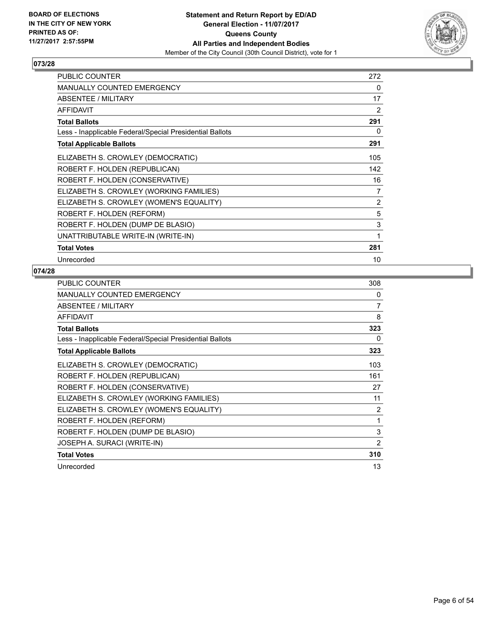

| <b>PUBLIC COUNTER</b>                                    | 272            |
|----------------------------------------------------------|----------------|
| <b>MANUALLY COUNTED EMERGENCY</b>                        | 0              |
| <b>ABSENTEE / MILITARY</b>                               | 17             |
| <b>AFFIDAVIT</b>                                         | 2              |
| <b>Total Ballots</b>                                     | 291            |
| Less - Inapplicable Federal/Special Presidential Ballots | 0              |
| <b>Total Applicable Ballots</b>                          | 291            |
| ELIZABETH S. CROWLEY (DEMOCRATIC)                        | 105            |
| ROBERT F. HOLDEN (REPUBLICAN)                            | 142            |
| ROBERT F. HOLDEN (CONSERVATIVE)                          | 16             |
| ELIZABETH S. CROWLEY (WORKING FAMILIES)                  | $\overline{7}$ |
| ELIZABETH S. CROWLEY (WOMEN'S EQUALITY)                  | 2              |
| ROBERT F. HOLDEN (REFORM)                                | 5              |
| ROBERT F. HOLDEN (DUMP DE BLASIO)                        | 3              |
| UNATTRIBUTABLE WRITE-IN (WRITE-IN)                       | 1              |
| <b>Total Votes</b>                                       | 281            |
| Unrecorded                                               | 10             |

| PUBLIC COUNTER                                           | 308 |
|----------------------------------------------------------|-----|
| <b>MANUALLY COUNTED EMERGENCY</b>                        | 0   |
| ABSENTEE / MILITARY                                      | 7   |
| <b>AFFIDAVIT</b>                                         | 8   |
| <b>Total Ballots</b>                                     | 323 |
| Less - Inapplicable Federal/Special Presidential Ballots | 0   |
| <b>Total Applicable Ballots</b>                          | 323 |
| ELIZABETH S. CROWLEY (DEMOCRATIC)                        | 103 |
| ROBERT F. HOLDEN (REPUBLICAN)                            | 161 |
| ROBERT F. HOLDEN (CONSERVATIVE)                          | 27  |
| ELIZABETH S. CROWLEY (WORKING FAMILIES)                  | 11  |
| ELIZABETH S. CROWLEY (WOMEN'S EQUALITY)                  | 2   |
| ROBERT F. HOLDEN (REFORM)                                | 1   |
| ROBERT F. HOLDEN (DUMP DE BLASIO)                        | 3   |
| JOSEPH A. SURACI (WRITE-IN)                              | 2   |
| <b>Total Votes</b>                                       | 310 |
| Unrecorded                                               | 13  |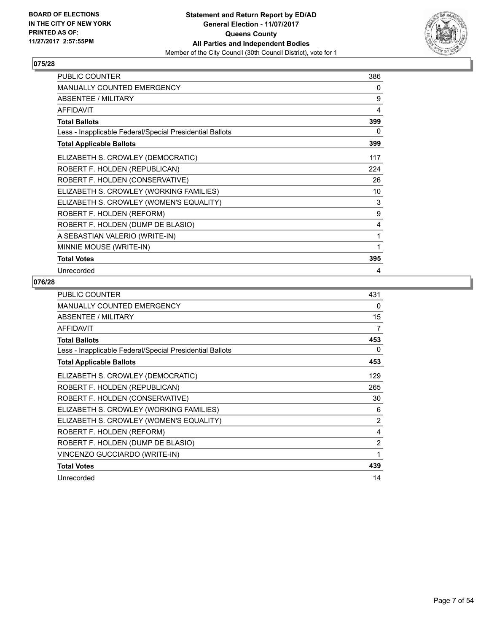

| <b>PUBLIC COUNTER</b>                                    | 386 |
|----------------------------------------------------------|-----|
| <b>MANUALLY COUNTED EMERGENCY</b>                        | 0   |
| ABSENTEE / MILITARY                                      | 9   |
| <b>AFFIDAVIT</b>                                         | 4   |
| <b>Total Ballots</b>                                     | 399 |
| Less - Inapplicable Federal/Special Presidential Ballots | 0   |
| <b>Total Applicable Ballots</b>                          | 399 |
| ELIZABETH S. CROWLEY (DEMOCRATIC)                        | 117 |
| ROBERT F. HOLDEN (REPUBLICAN)                            | 224 |
| ROBERT F. HOLDEN (CONSERVATIVE)                          | 26  |
| ELIZABETH S. CROWLEY (WORKING FAMILIES)                  | 10  |
| ELIZABETH S. CROWLEY (WOMEN'S EQUALITY)                  | 3   |
| ROBERT F. HOLDEN (REFORM)                                | 9   |
| ROBERT F. HOLDEN (DUMP DE BLASIO)                        | 4   |
| A SEBASTIAN VALERIO (WRITE-IN)                           | 1   |
| MINNIE MOUSE (WRITE-IN)                                  | 1   |
| <b>Total Votes</b>                                       | 395 |
| Unrecorded                                               | 4   |

| <b>PUBLIC COUNTER</b>                                    | 431            |
|----------------------------------------------------------|----------------|
| <b>MANUALLY COUNTED EMERGENCY</b>                        | 0              |
| ABSENTEE / MILITARY                                      | 15             |
| <b>AFFIDAVIT</b>                                         | 7              |
| <b>Total Ballots</b>                                     | 453            |
| Less - Inapplicable Federal/Special Presidential Ballots | 0              |
| <b>Total Applicable Ballots</b>                          | 453            |
| ELIZABETH S. CROWLEY (DEMOCRATIC)                        | 129            |
| ROBERT F. HOLDEN (REPUBLICAN)                            | 265            |
| ROBERT F. HOLDEN (CONSERVATIVE)                          | 30             |
| ELIZABETH S. CROWLEY (WORKING FAMILIES)                  | 6              |
| ELIZABETH S. CROWLEY (WOMEN'S EQUALITY)                  | $\overline{2}$ |
| ROBERT F. HOLDEN (REFORM)                                | 4              |
| ROBERT F. HOLDEN (DUMP DE BLASIO)                        | $\overline{2}$ |
| VINCENZO GUCCIARDO (WRITE-IN)                            | 1              |
| <b>Total Votes</b>                                       | 439            |
| Unrecorded                                               | 14             |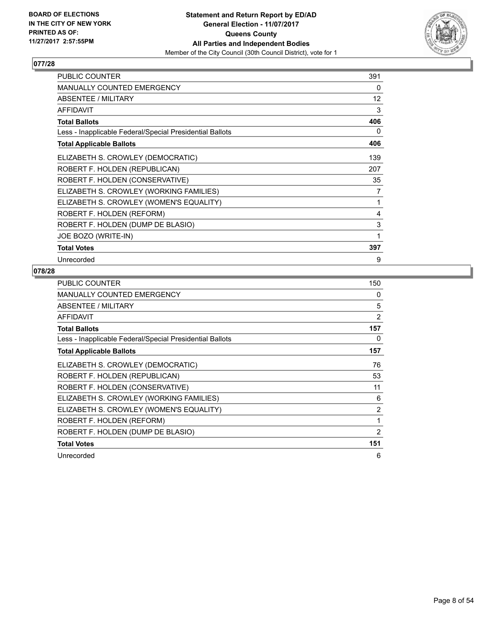

| PUBLIC COUNTER                                           | 391               |
|----------------------------------------------------------|-------------------|
| MANUALLY COUNTED EMERGENCY                               | 0                 |
| <b>ABSENTEE / MILITARY</b>                               | $12 \overline{ }$ |
| <b>AFFIDAVIT</b>                                         | 3                 |
| <b>Total Ballots</b>                                     | 406               |
| Less - Inapplicable Federal/Special Presidential Ballots | 0                 |
| <b>Total Applicable Ballots</b>                          | 406               |
| ELIZABETH S. CROWLEY (DEMOCRATIC)                        | 139               |
| ROBERT F. HOLDEN (REPUBLICAN)                            | 207               |
| ROBERT F. HOLDEN (CONSERVATIVE)                          | 35                |
| ELIZABETH S. CROWLEY (WORKING FAMILIES)                  | 7                 |
| ELIZABETH S. CROWLEY (WOMEN'S EQUALITY)                  | 1                 |
| ROBERT F. HOLDEN (REFORM)                                | 4                 |
| ROBERT F. HOLDEN (DUMP DE BLASIO)                        | 3                 |
| JOE BOZO (WRITE-IN)                                      | 1                 |
| <b>Total Votes</b>                                       | 397               |
| Unrecorded                                               | 9                 |

| <b>PUBLIC COUNTER</b>                                    | 150 |
|----------------------------------------------------------|-----|
| <b>MANUALLY COUNTED EMERGENCY</b>                        | 0   |
| ABSENTEE / MILITARY                                      | 5   |
| <b>AFFIDAVIT</b>                                         | 2   |
| <b>Total Ballots</b>                                     | 157 |
| Less - Inapplicable Federal/Special Presidential Ballots | 0   |
| <b>Total Applicable Ballots</b>                          | 157 |
| ELIZABETH S. CROWLEY (DEMOCRATIC)                        | 76  |
| ROBERT F. HOLDEN (REPUBLICAN)                            | 53  |
| ROBERT F. HOLDEN (CONSERVATIVE)                          | 11  |
| ELIZABETH S. CROWLEY (WORKING FAMILIES)                  | 6   |
| ELIZABETH S. CROWLEY (WOMEN'S EQUALITY)                  | 2   |
| ROBERT F. HOLDEN (REFORM)                                | 1   |
| ROBERT F. HOLDEN (DUMP DE BLASIO)                        | 2   |
| <b>Total Votes</b>                                       | 151 |
| Unrecorded                                               | 6   |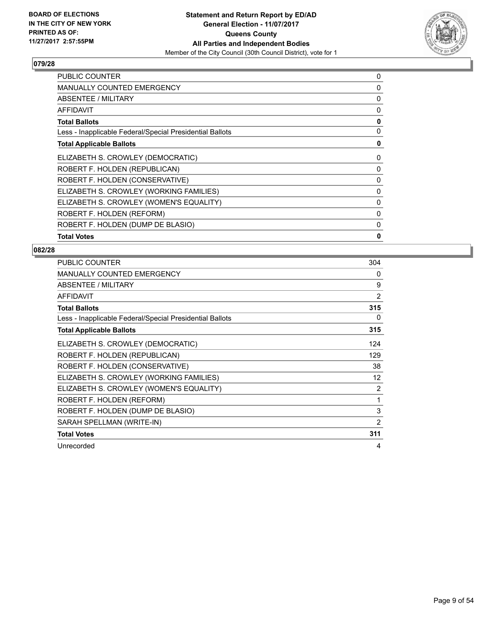

| <b>PUBLIC COUNTER</b>                                    | 0 |
|----------------------------------------------------------|---|
| MANUALLY COUNTED EMERGENCY                               | 0 |
| ABSENTEE / MILITARY                                      | 0 |
| AFFIDAVIT                                                | 0 |
| <b>Total Ballots</b>                                     | 0 |
| Less - Inapplicable Federal/Special Presidential Ballots | 0 |
| <b>Total Applicable Ballots</b>                          | 0 |
| ELIZABETH S. CROWLEY (DEMOCRATIC)                        | 0 |
| ROBERT F. HOLDEN (REPUBLICAN)                            | 0 |
| ROBERT F. HOLDEN (CONSERVATIVE)                          | 0 |
| ELIZABETH S. CROWLEY (WORKING FAMILIES)                  | 0 |
| ELIZABETH S. CROWLEY (WOMEN'S EQUALITY)                  | 0 |
| ROBERT F. HOLDEN (REFORM)                                | 0 |
| ROBERT F. HOLDEN (DUMP DE BLASIO)                        | 0 |
| <b>Total Votes</b>                                       | 0 |

| PUBLIC COUNTER                                           | 304      |
|----------------------------------------------------------|----------|
| <b>MANUALLY COUNTED EMERGENCY</b>                        | $\Omega$ |
| ABSENTEE / MILITARY                                      | 9        |
| <b>AFFIDAVIT</b>                                         | 2        |
| <b>Total Ballots</b>                                     | 315      |
| Less - Inapplicable Federal/Special Presidential Ballots | 0        |
| <b>Total Applicable Ballots</b>                          | 315      |
| ELIZABETH S. CROWLEY (DEMOCRATIC)                        | 124      |
| ROBERT F. HOLDEN (REPUBLICAN)                            | 129      |
| ROBERT F. HOLDEN (CONSERVATIVE)                          | 38       |
| ELIZABETH S. CROWLEY (WORKING FAMILIES)                  | 12       |
| ELIZABETH S. CROWLEY (WOMEN'S EQUALITY)                  | 2        |
| ROBERT F. HOLDEN (REFORM)                                | 1        |
| ROBERT F. HOLDEN (DUMP DE BLASIO)                        | 3        |
| SARAH SPELLMAN (WRITE-IN)                                | 2        |
| <b>Total Votes</b>                                       | 311      |
| Unrecorded                                               | 4        |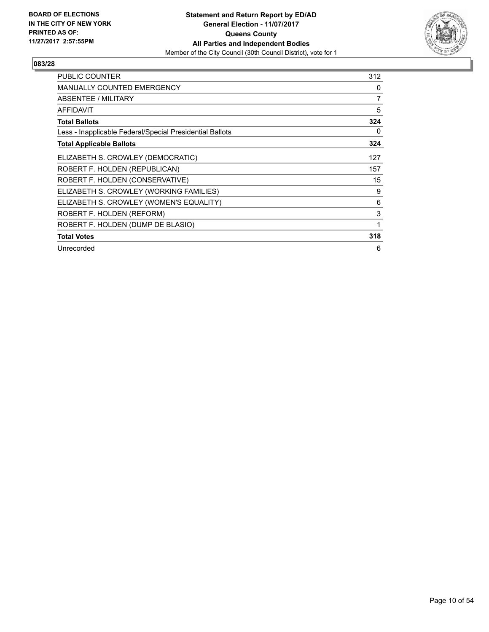

| <b>PUBLIC COUNTER</b>                                    | 312 |
|----------------------------------------------------------|-----|
| <b>MANUALLY COUNTED EMERGENCY</b>                        | 0   |
| <b>ABSENTEE / MILITARY</b>                               | 7   |
| <b>AFFIDAVIT</b>                                         | 5   |
| <b>Total Ballots</b>                                     | 324 |
| Less - Inapplicable Federal/Special Presidential Ballots | 0   |
| <b>Total Applicable Ballots</b>                          | 324 |
| ELIZABETH S. CROWLEY (DEMOCRATIC)                        | 127 |
| ROBERT F. HOLDEN (REPUBLICAN)                            | 157 |
| ROBERT F. HOLDEN (CONSERVATIVE)                          | 15  |
| ELIZABETH S. CROWLEY (WORKING FAMILIES)                  | 9   |
| ELIZABETH S. CROWLEY (WOMEN'S EQUALITY)                  | 6   |
| ROBERT F. HOLDEN (REFORM)                                | 3   |
| ROBERT F. HOLDEN (DUMP DE BLASIO)                        | 1   |
| <b>Total Votes</b>                                       | 318 |
| Unrecorded                                               | 6   |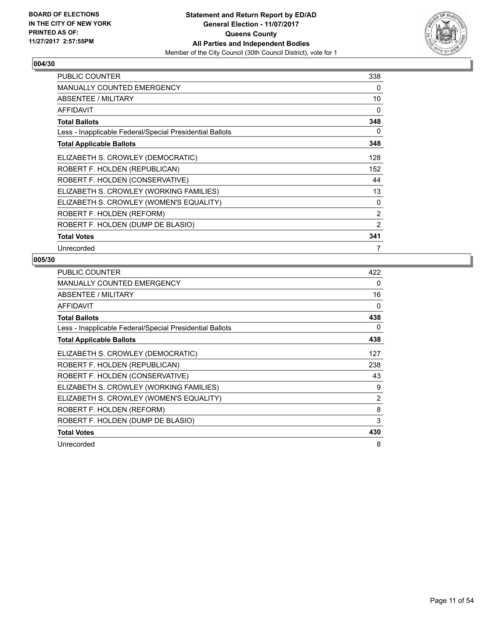

| <b>PUBLIC COUNTER</b>                                    | 338            |
|----------------------------------------------------------|----------------|
| <b>MANUALLY COUNTED EMERGENCY</b>                        | 0              |
| ABSENTEE / MILITARY                                      | 10             |
| <b>AFFIDAVIT</b>                                         | 0              |
| <b>Total Ballots</b>                                     | 348            |
| Less - Inapplicable Federal/Special Presidential Ballots | 0              |
| <b>Total Applicable Ballots</b>                          | 348            |
| ELIZABETH S. CROWLEY (DEMOCRATIC)                        | 128            |
| ROBERT F. HOLDEN (REPUBLICAN)                            | 152            |
| ROBERT F. HOLDEN (CONSERVATIVE)                          | 44             |
| ELIZABETH S. CROWLEY (WORKING FAMILIES)                  | 13             |
| ELIZABETH S. CROWLEY (WOMEN'S EQUALITY)                  | $\Omega$       |
| ROBERT F. HOLDEN (REFORM)                                | 2              |
| ROBERT F. HOLDEN (DUMP DE BLASIO)                        | $\overline{2}$ |
| <b>Total Votes</b>                                       | 341            |
| Unrecorded                                               | 7              |

| <b>PUBLIC COUNTER</b>                                    | 422 |
|----------------------------------------------------------|-----|
| <b>MANUALLY COUNTED EMERGENCY</b>                        | 0   |
| ABSENTEE / MILITARY                                      | 16  |
| <b>AFFIDAVIT</b>                                         | 0   |
| <b>Total Ballots</b>                                     | 438 |
| Less - Inapplicable Federal/Special Presidential Ballots | 0   |
| <b>Total Applicable Ballots</b>                          | 438 |
| ELIZABETH S. CROWLEY (DEMOCRATIC)                        | 127 |
| ROBERT F. HOLDEN (REPUBLICAN)                            | 238 |
| ROBERT F. HOLDEN (CONSERVATIVE)                          | 43  |
| ELIZABETH S. CROWLEY (WORKING FAMILIES)                  | 9   |
| ELIZABETH S. CROWLEY (WOMEN'S EQUALITY)                  | 2   |
| ROBERT F. HOLDEN (REFORM)                                | 8   |
| ROBERT F. HOLDEN (DUMP DE BLASIO)                        | 3   |
| <b>Total Votes</b>                                       | 430 |
| Unrecorded                                               | 8   |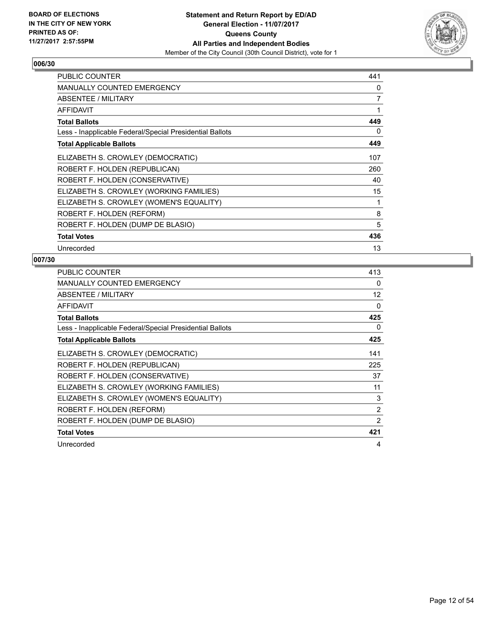

| <b>PUBLIC COUNTER</b>                                    | 441 |
|----------------------------------------------------------|-----|
| <b>MANUALLY COUNTED EMERGENCY</b>                        | 0   |
| ABSENTEE / MILITARY                                      | 7   |
| <b>AFFIDAVIT</b>                                         | 1   |
| <b>Total Ballots</b>                                     | 449 |
| Less - Inapplicable Federal/Special Presidential Ballots | 0   |
| <b>Total Applicable Ballots</b>                          | 449 |
| ELIZABETH S. CROWLEY (DEMOCRATIC)                        | 107 |
| ROBERT F. HOLDEN (REPUBLICAN)                            | 260 |
| ROBERT F. HOLDEN (CONSERVATIVE)                          | 40  |
| ELIZABETH S. CROWLEY (WORKING FAMILIES)                  | 15  |
| ELIZABETH S. CROWLEY (WOMEN'S EQUALITY)                  | 1   |
| ROBERT F. HOLDEN (REFORM)                                | 8   |
| ROBERT F. HOLDEN (DUMP DE BLASIO)                        | 5   |
| <b>Total Votes</b>                                       | 436 |
| Unrecorded                                               | 13  |

| <b>PUBLIC COUNTER</b>                                    | 413 |
|----------------------------------------------------------|-----|
| <b>MANUALLY COUNTED EMERGENCY</b>                        | 0   |
| ABSENTEE / MILITARY                                      | 12  |
| <b>AFFIDAVIT</b>                                         | 0   |
| <b>Total Ballots</b>                                     | 425 |
| Less - Inapplicable Federal/Special Presidential Ballots | 0   |
| <b>Total Applicable Ballots</b>                          | 425 |
| ELIZABETH S. CROWLEY (DEMOCRATIC)                        | 141 |
| ROBERT F. HOLDEN (REPUBLICAN)                            | 225 |
| ROBERT F. HOLDEN (CONSERVATIVE)                          | 37  |
| ELIZABETH S. CROWLEY (WORKING FAMILIES)                  | 11  |
| ELIZABETH S. CROWLEY (WOMEN'S EQUALITY)                  | 3   |
| ROBERT F. HOLDEN (REFORM)                                | 2   |
| ROBERT F. HOLDEN (DUMP DE BLASIO)                        | 2   |
| <b>Total Votes</b>                                       | 421 |
| Unrecorded                                               | 4   |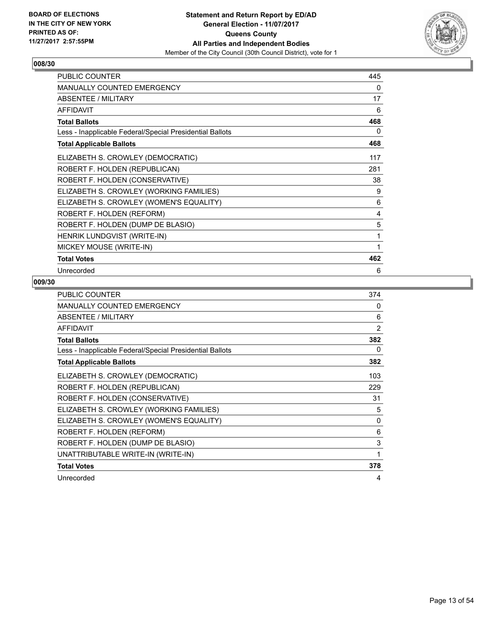

| <b>PUBLIC COUNTER</b>                                    | 445 |
|----------------------------------------------------------|-----|
| <b>MANUALLY COUNTED EMERGENCY</b>                        | 0   |
| ABSENTEE / MILITARY                                      | 17  |
| <b>AFFIDAVIT</b>                                         | 6   |
| <b>Total Ballots</b>                                     | 468 |
| Less - Inapplicable Federal/Special Presidential Ballots | 0   |
| <b>Total Applicable Ballots</b>                          | 468 |
| ELIZABETH S. CROWLEY (DEMOCRATIC)                        | 117 |
| ROBERT F. HOLDEN (REPUBLICAN)                            | 281 |
| ROBERT F. HOLDEN (CONSERVATIVE)                          | 38  |
| ELIZABETH S. CROWLEY (WORKING FAMILIES)                  | 9   |
| ELIZABETH S. CROWLEY (WOMEN'S EQUALITY)                  | 6   |
| ROBERT F. HOLDEN (REFORM)                                | 4   |
| ROBERT F. HOLDEN (DUMP DE BLASIO)                        | 5   |
| HENRIK LUNDGVIST (WRITE-IN)                              | 1   |
| MICKEY MOUSE (WRITE-IN)                                  | 1   |
| <b>Total Votes</b>                                       | 462 |
| Unrecorded                                               | 6   |

| <b>PUBLIC COUNTER</b>                                    | 374            |
|----------------------------------------------------------|----------------|
| <b>MANUALLY COUNTED EMERGENCY</b>                        | 0              |
| ABSENTEE / MILITARY                                      | 6              |
| <b>AFFIDAVIT</b>                                         | $\overline{2}$ |
| <b>Total Ballots</b>                                     | 382            |
| Less - Inapplicable Federal/Special Presidential Ballots | 0              |
| <b>Total Applicable Ballots</b>                          | 382            |
| ELIZABETH S. CROWLEY (DEMOCRATIC)                        | 103            |
| ROBERT F. HOLDEN (REPUBLICAN)                            | 229            |
| ROBERT F. HOLDEN (CONSERVATIVE)                          | 31             |
| ELIZABETH S. CROWLEY (WORKING FAMILIES)                  | 5              |
| ELIZABETH S. CROWLEY (WOMEN'S EQUALITY)                  | $\Omega$       |
| ROBERT F. HOLDEN (REFORM)                                | 6              |
| ROBERT F. HOLDEN (DUMP DE BLASIO)                        | 3              |
| UNATTRIBUTABLE WRITE-IN (WRITE-IN)                       | 1              |
| <b>Total Votes</b>                                       | 378            |
| Unrecorded                                               | 4              |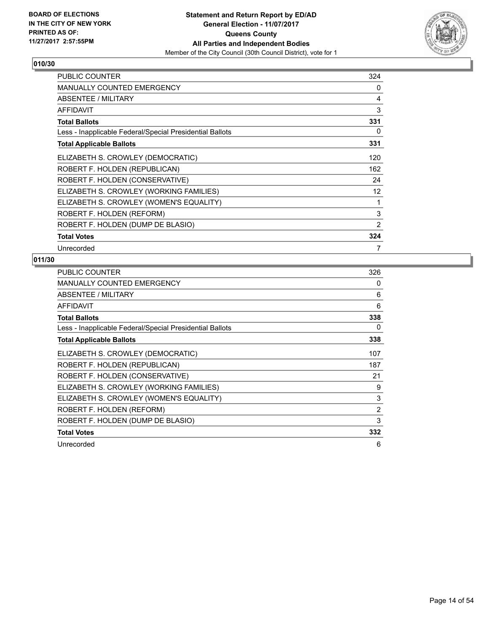

| <b>PUBLIC COUNTER</b>                                    | 324               |
|----------------------------------------------------------|-------------------|
| <b>MANUALLY COUNTED EMERGENCY</b>                        | 0                 |
| ABSENTEE / MILITARY                                      | 4                 |
| <b>AFFIDAVIT</b>                                         | 3                 |
| <b>Total Ballots</b>                                     | 331               |
| Less - Inapplicable Federal/Special Presidential Ballots | 0                 |
| <b>Total Applicable Ballots</b>                          | 331               |
| ELIZABETH S. CROWLEY (DEMOCRATIC)                        | 120               |
| ROBERT F. HOLDEN (REPUBLICAN)                            | 162               |
| ROBERT F. HOLDEN (CONSERVATIVE)                          | 24                |
| ELIZABETH S. CROWLEY (WORKING FAMILIES)                  | $12 \overline{ }$ |
| ELIZABETH S. CROWLEY (WOMEN'S EQUALITY)                  | 1                 |
| ROBERT F. HOLDEN (REFORM)                                | 3                 |
| ROBERT F. HOLDEN (DUMP DE BLASIO)                        | $\overline{2}$    |
| <b>Total Votes</b>                                       | 324               |
| Unrecorded                                               | 7                 |

| <b>PUBLIC COUNTER</b>                                    | 326 |
|----------------------------------------------------------|-----|
| <b>MANUALLY COUNTED EMERGENCY</b>                        | 0   |
| ABSENTEE / MILITARY                                      | 6   |
| <b>AFFIDAVIT</b>                                         | 6   |
| <b>Total Ballots</b>                                     | 338 |
| Less - Inapplicable Federal/Special Presidential Ballots | 0   |
| <b>Total Applicable Ballots</b>                          | 338 |
| ELIZABETH S. CROWLEY (DEMOCRATIC)                        | 107 |
| ROBERT F. HOLDEN (REPUBLICAN)                            | 187 |
| ROBERT F. HOLDEN (CONSERVATIVE)                          | 21  |
| ELIZABETH S. CROWLEY (WORKING FAMILIES)                  | 9   |
| ELIZABETH S. CROWLEY (WOMEN'S EQUALITY)                  | 3   |
| ROBERT F. HOLDEN (REFORM)                                | 2   |
| ROBERT F. HOLDEN (DUMP DE BLASIO)                        | 3   |
| <b>Total Votes</b>                                       | 332 |
| Unrecorded                                               | 6   |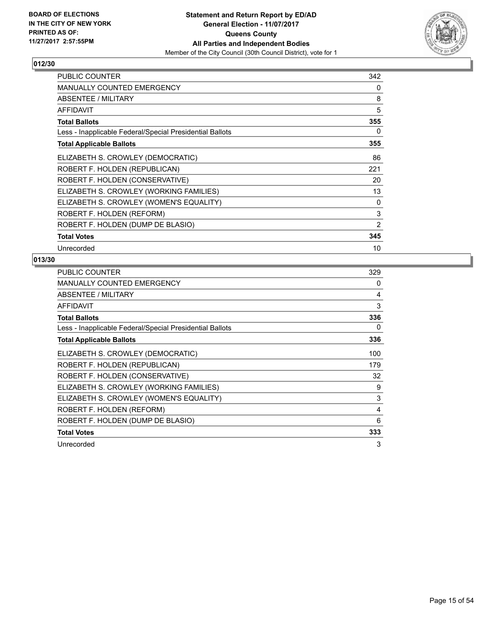

| <b>PUBLIC COUNTER</b>                                    | 342            |
|----------------------------------------------------------|----------------|
| <b>MANUALLY COUNTED EMERGENCY</b>                        | 0              |
| ABSENTEE / MILITARY                                      | 8              |
| <b>AFFIDAVIT</b>                                         | 5              |
| <b>Total Ballots</b>                                     | 355            |
| Less - Inapplicable Federal/Special Presidential Ballots | 0              |
| <b>Total Applicable Ballots</b>                          | 355            |
| ELIZABETH S. CROWLEY (DEMOCRATIC)                        | 86             |
| ROBERT F. HOLDEN (REPUBLICAN)                            | 221            |
| ROBERT F. HOLDEN (CONSERVATIVE)                          | 20             |
| ELIZABETH S. CROWLEY (WORKING FAMILIES)                  | 13             |
| ELIZABETH S. CROWLEY (WOMEN'S EQUALITY)                  | 0              |
| ROBERT F. HOLDEN (REFORM)                                | 3              |
| ROBERT F. HOLDEN (DUMP DE BLASIO)                        | $\overline{2}$ |
| <b>Total Votes</b>                                       | 345            |
| Unrecorded                                               | 10             |

| <b>PUBLIC COUNTER</b>                                    | 329 |
|----------------------------------------------------------|-----|
| <b>MANUALLY COUNTED EMERGENCY</b>                        | 0   |
| ABSENTEE / MILITARY                                      | 4   |
| <b>AFFIDAVIT</b>                                         | 3   |
| <b>Total Ballots</b>                                     | 336 |
| Less - Inapplicable Federal/Special Presidential Ballots | 0   |
| <b>Total Applicable Ballots</b>                          | 336 |
| ELIZABETH S. CROWLEY (DEMOCRATIC)                        | 100 |
| ROBERT F. HOLDEN (REPUBLICAN)                            | 179 |
| ROBERT F. HOLDEN (CONSERVATIVE)                          | 32  |
| ELIZABETH S. CROWLEY (WORKING FAMILIES)                  | 9   |
| ELIZABETH S. CROWLEY (WOMEN'S EQUALITY)                  | 3   |
| ROBERT F. HOLDEN (REFORM)                                | 4   |
| ROBERT F. HOLDEN (DUMP DE BLASIO)                        | 6   |
| <b>Total Votes</b>                                       | 333 |
| Unrecorded                                               | 3   |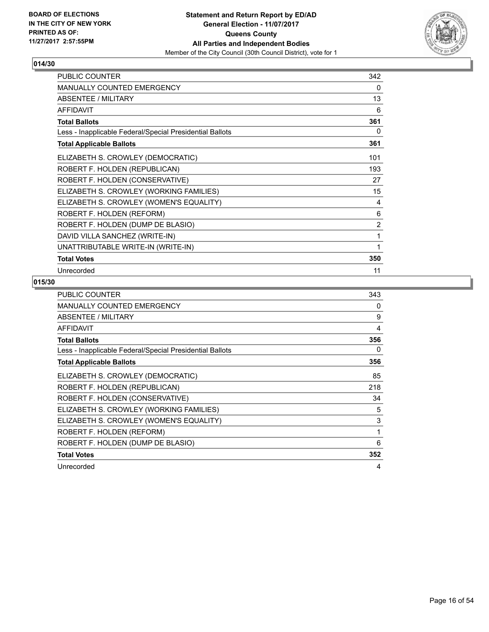

| <b>PUBLIC COUNTER</b>                                    | 342 |
|----------------------------------------------------------|-----|
| <b>MANUALLY COUNTED EMERGENCY</b>                        | 0   |
| <b>ABSENTEE / MILITARY</b>                               | 13  |
| <b>AFFIDAVIT</b>                                         | 6   |
| <b>Total Ballots</b>                                     | 361 |
| Less - Inapplicable Federal/Special Presidential Ballots | 0   |
| <b>Total Applicable Ballots</b>                          | 361 |
| ELIZABETH S. CROWLEY (DEMOCRATIC)                        | 101 |
| ROBERT F. HOLDEN (REPUBLICAN)                            | 193 |
| ROBERT F. HOLDEN (CONSERVATIVE)                          | 27  |
| ELIZABETH S. CROWLEY (WORKING FAMILIES)                  | 15  |
| ELIZABETH S. CROWLEY (WOMEN'S EQUALITY)                  | 4   |
| ROBERT F. HOLDEN (REFORM)                                | 6   |
| ROBERT F. HOLDEN (DUMP DE BLASIO)                        | 2   |
| DAVID VILLA SANCHEZ (WRITE-IN)                           | 1   |
| UNATTRIBUTABLE WRITE-IN (WRITE-IN)                       | 1   |
| <b>Total Votes</b>                                       | 350 |
| Unrecorded                                               | 11  |

| <b>PUBLIC COUNTER</b>                                    | 343 |
|----------------------------------------------------------|-----|
| <b>MANUALLY COUNTED EMERGENCY</b>                        | 0   |
| ABSENTEE / MILITARY                                      | 9   |
| <b>AFFIDAVIT</b>                                         | 4   |
| <b>Total Ballots</b>                                     | 356 |
| Less - Inapplicable Federal/Special Presidential Ballots | 0   |
| <b>Total Applicable Ballots</b>                          | 356 |
| ELIZABETH S. CROWLEY (DEMOCRATIC)                        | 85  |
| ROBERT F. HOLDEN (REPUBLICAN)                            | 218 |
| ROBERT F. HOLDEN (CONSERVATIVE)                          | 34  |
| ELIZABETH S. CROWLEY (WORKING FAMILIES)                  | 5   |
| ELIZABETH S. CROWLEY (WOMEN'S EQUALITY)                  | 3   |
| ROBERT F. HOLDEN (REFORM)                                | 1   |
| ROBERT F. HOLDEN (DUMP DE BLASIO)                        | 6   |
| <b>Total Votes</b>                                       | 352 |
| Unrecorded                                               | 4   |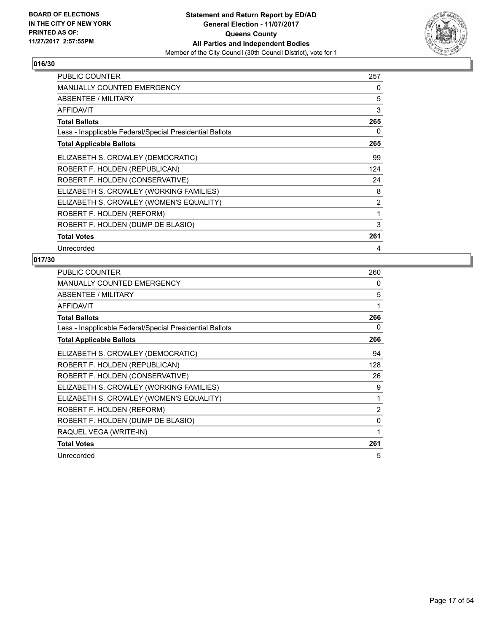

| <b>PUBLIC COUNTER</b>                                    | 257 |
|----------------------------------------------------------|-----|
| <b>MANUALLY COUNTED EMERGENCY</b>                        | 0   |
| ABSENTEE / MILITARY                                      | 5   |
| <b>AFFIDAVIT</b>                                         | 3   |
| <b>Total Ballots</b>                                     | 265 |
| Less - Inapplicable Federal/Special Presidential Ballots | 0   |
| <b>Total Applicable Ballots</b>                          | 265 |
| ELIZABETH S. CROWLEY (DEMOCRATIC)                        | 99  |
| ROBERT F. HOLDEN (REPUBLICAN)                            | 124 |
| ROBERT F. HOLDEN (CONSERVATIVE)                          | 24  |
| ELIZABETH S. CROWLEY (WORKING FAMILIES)                  | 8   |
| ELIZABETH S. CROWLEY (WOMEN'S EQUALITY)                  | 2   |
| ROBERT F. HOLDEN (REFORM)                                | 1   |
| ROBERT F. HOLDEN (DUMP DE BLASIO)                        | 3   |
| <b>Total Votes</b>                                       | 261 |
| Unrecorded                                               | 4   |

| <b>PUBLIC COUNTER</b>                                    | 260 |
|----------------------------------------------------------|-----|
| <b>MANUALLY COUNTED EMERGENCY</b>                        | 0   |
| ABSENTEE / MILITARY                                      | 5   |
| <b>AFFIDAVIT</b>                                         | 1   |
| <b>Total Ballots</b>                                     | 266 |
| Less - Inapplicable Federal/Special Presidential Ballots | 0   |
| <b>Total Applicable Ballots</b>                          | 266 |
| ELIZABETH S. CROWLEY (DEMOCRATIC)                        | 94  |
| ROBERT F. HOLDEN (REPUBLICAN)                            | 128 |
| ROBERT F. HOLDEN (CONSERVATIVE)                          | 26  |
| ELIZABETH S. CROWLEY (WORKING FAMILIES)                  | 9   |
| ELIZABETH S. CROWLEY (WOMEN'S EQUALITY)                  | 1   |
| ROBERT F. HOLDEN (REFORM)                                | 2   |
| ROBERT F. HOLDEN (DUMP DE BLASIO)                        | 0   |
| RAQUEL VEGA (WRITE-IN)                                   | 1   |
| <b>Total Votes</b>                                       | 261 |
| Unrecorded                                               | 5   |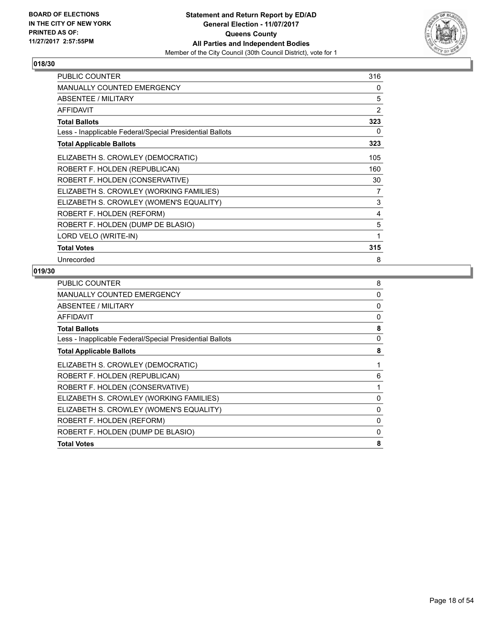

| <b>PUBLIC COUNTER</b>                                    | 316 |
|----------------------------------------------------------|-----|
| <b>MANUALLY COUNTED EMERGENCY</b>                        | 0   |
| <b>ABSENTEE / MILITARY</b>                               | 5   |
| <b>AFFIDAVIT</b>                                         | 2   |
| <b>Total Ballots</b>                                     | 323 |
| Less - Inapplicable Federal/Special Presidential Ballots | 0   |
| <b>Total Applicable Ballots</b>                          | 323 |
| ELIZABETH S. CROWLEY (DEMOCRATIC)                        | 105 |
| ROBERT F. HOLDEN (REPUBLICAN)                            | 160 |
| ROBERT F. HOLDEN (CONSERVATIVE)                          | 30  |
| ELIZABETH S. CROWLEY (WORKING FAMILIES)                  | 7   |
| ELIZABETH S. CROWLEY (WOMEN'S EQUALITY)                  | 3   |
| ROBERT F. HOLDEN (REFORM)                                | 4   |
| ROBERT F. HOLDEN (DUMP DE BLASIO)                        | 5   |
| LORD VELO (WRITE-IN)                                     | 1   |
| <b>Total Votes</b>                                       | 315 |
| Unrecorded                                               | 8   |

| PUBLIC COUNTER                                           | 8        |
|----------------------------------------------------------|----------|
| <b>MANUALLY COUNTED EMERGENCY</b>                        | $\Omega$ |
| ABSENTEE / MILITARY                                      | 0        |
| <b>AFFIDAVIT</b>                                         | 0        |
| <b>Total Ballots</b>                                     | 8        |
| Less - Inapplicable Federal/Special Presidential Ballots | 0        |
| <b>Total Applicable Ballots</b>                          | 8        |
| ELIZABETH S. CROWLEY (DEMOCRATIC)                        |          |
| ROBERT F. HOLDEN (REPUBLICAN)                            | 6        |
| ROBERT F. HOLDEN (CONSERVATIVE)                          |          |
| ELIZABETH S. CROWLEY (WORKING FAMILIES)                  | 0        |
| ELIZABETH S. CROWLEY (WOMEN'S EQUALITY)                  | 0        |
| ROBERT F. HOLDEN (REFORM)                                | 0        |
| ROBERT F. HOLDEN (DUMP DE BLASIO)                        | 0        |
| <b>Total Votes</b>                                       | 8        |
|                                                          |          |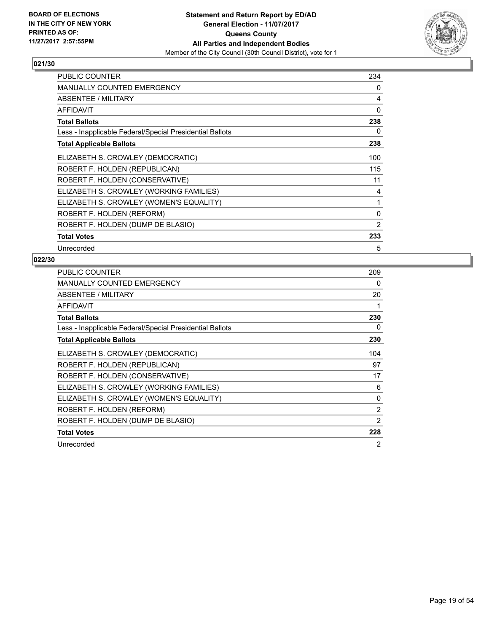

| PUBLIC COUNTER                                           | 234      |
|----------------------------------------------------------|----------|
| <b>MANUALLY COUNTED EMERGENCY</b>                        | 0        |
| ABSENTEE / MILITARY                                      | 4        |
| <b>AFFIDAVIT</b>                                         | 0        |
| <b>Total Ballots</b>                                     | 238      |
| Less - Inapplicable Federal/Special Presidential Ballots | 0        |
| <b>Total Applicable Ballots</b>                          | 238      |
| ELIZABETH S. CROWLEY (DEMOCRATIC)                        | 100      |
| ROBERT F. HOLDEN (REPUBLICAN)                            | 115      |
| ROBERT F. HOLDEN (CONSERVATIVE)                          | 11       |
| ELIZABETH S. CROWLEY (WORKING FAMILIES)                  | 4        |
| ELIZABETH S. CROWLEY (WOMEN'S EQUALITY)                  | 1        |
| ROBERT F. HOLDEN (REFORM)                                | $\Omega$ |
| ROBERT F. HOLDEN (DUMP DE BLASIO)                        | 2        |
| <b>Total Votes</b>                                       | 233      |
| Unrecorded                                               | 5        |

| <b>PUBLIC COUNTER</b>                                    | 209            |
|----------------------------------------------------------|----------------|
| <b>MANUALLY COUNTED EMERGENCY</b>                        | 0              |
| ABSENTEE / MILITARY                                      | 20             |
| <b>AFFIDAVIT</b>                                         |                |
| <b>Total Ballots</b>                                     | 230            |
| Less - Inapplicable Federal/Special Presidential Ballots | 0              |
| <b>Total Applicable Ballots</b>                          | 230            |
| ELIZABETH S. CROWLEY (DEMOCRATIC)                        | 104            |
| ROBERT F. HOLDEN (REPUBLICAN)                            | 97             |
| ROBERT F. HOLDEN (CONSERVATIVE)                          | 17             |
| ELIZABETH S. CROWLEY (WORKING FAMILIES)                  | 6              |
| ELIZABETH S. CROWLEY (WOMEN'S EQUALITY)                  | 0              |
| ROBERT F. HOLDEN (REFORM)                                | 2              |
| ROBERT F. HOLDEN (DUMP DE BLASIO)                        | 2              |
| <b>Total Votes</b>                                       | 228            |
| Unrecorded                                               | $\overline{2}$ |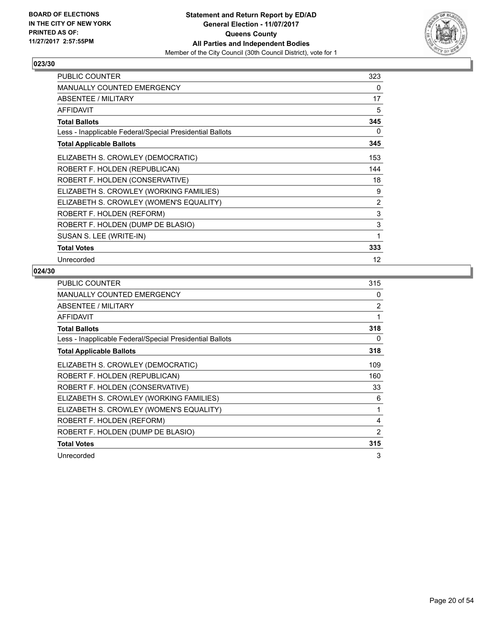

| <b>PUBLIC COUNTER</b>                                    | 323               |
|----------------------------------------------------------|-------------------|
| <b>MANUALLY COUNTED EMERGENCY</b>                        | 0                 |
| <b>ABSENTEE / MILITARY</b>                               | 17                |
| <b>AFFIDAVIT</b>                                         | 5                 |
| <b>Total Ballots</b>                                     | 345               |
| Less - Inapplicable Federal/Special Presidential Ballots | 0                 |
| <b>Total Applicable Ballots</b>                          | 345               |
| ELIZABETH S. CROWLEY (DEMOCRATIC)                        | 153               |
| ROBERT F. HOLDEN (REPUBLICAN)                            | 144               |
| ROBERT F. HOLDEN (CONSERVATIVE)                          | 18                |
| ELIZABETH S. CROWLEY (WORKING FAMILIES)                  | 9                 |
| ELIZABETH S. CROWLEY (WOMEN'S EQUALITY)                  | 2                 |
| ROBERT F. HOLDEN (REFORM)                                | 3                 |
| ROBERT F. HOLDEN (DUMP DE BLASIO)                        | 3                 |
| SUSAN S. LEE (WRITE-IN)                                  | 1                 |
| <b>Total Votes</b>                                       | 333               |
| Unrecorded                                               | $12 \overline{ }$ |

| <b>PUBLIC COUNTER</b>                                    | 315 |
|----------------------------------------------------------|-----|
| <b>MANUALLY COUNTED EMERGENCY</b>                        | 0   |
| ABSENTEE / MILITARY                                      | 2   |
| AFFIDAVIT                                                | 1   |
| <b>Total Ballots</b>                                     | 318 |
| Less - Inapplicable Federal/Special Presidential Ballots | 0   |
| <b>Total Applicable Ballots</b>                          | 318 |
| ELIZABETH S. CROWLEY (DEMOCRATIC)                        | 109 |
| ROBERT F. HOLDEN (REPUBLICAN)                            | 160 |
| ROBERT F. HOLDEN (CONSERVATIVE)                          | 33  |
| ELIZABETH S. CROWLEY (WORKING FAMILIES)                  | 6   |
| ELIZABETH S. CROWLEY (WOMEN'S EQUALITY)                  | 1   |
| ROBERT F. HOLDEN (REFORM)                                | 4   |
| ROBERT F. HOLDEN (DUMP DE BLASIO)                        | 2   |
| <b>Total Votes</b>                                       | 315 |
| Unrecorded                                               | 3   |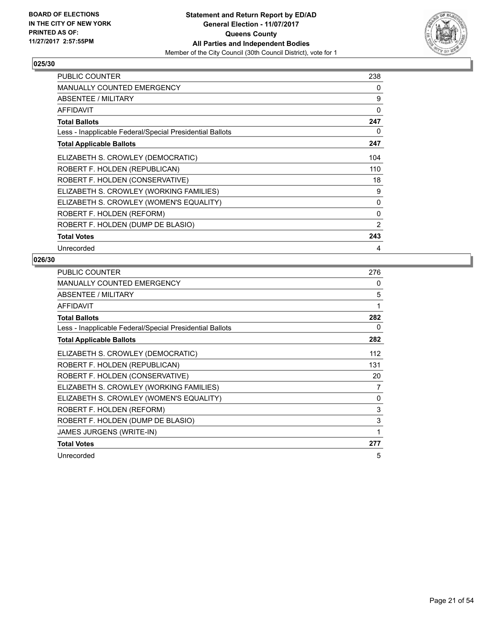

| <b>PUBLIC COUNTER</b>                                    | 238            |
|----------------------------------------------------------|----------------|
| <b>MANUALLY COUNTED EMERGENCY</b>                        | 0              |
| ABSENTEE / MILITARY                                      | 9              |
| <b>AFFIDAVIT</b>                                         | 0              |
| <b>Total Ballots</b>                                     | 247            |
| Less - Inapplicable Federal/Special Presidential Ballots | 0              |
| <b>Total Applicable Ballots</b>                          | 247            |
| ELIZABETH S. CROWLEY (DEMOCRATIC)                        | 104            |
| ROBERT F. HOLDEN (REPUBLICAN)                            | 110            |
| ROBERT F. HOLDEN (CONSERVATIVE)                          | 18             |
| ELIZABETH S. CROWLEY (WORKING FAMILIES)                  | 9              |
| ELIZABETH S. CROWLEY (WOMEN'S EQUALITY)                  | 0              |
| ROBERT F. HOLDEN (REFORM)                                | 0              |
| ROBERT F. HOLDEN (DUMP DE BLASIO)                        | $\overline{2}$ |
| <b>Total Votes</b>                                       | 243            |
| Unrecorded                                               | 4              |

| <b>PUBLIC COUNTER</b>                                    | 276 |
|----------------------------------------------------------|-----|
| <b>MANUALLY COUNTED EMERGENCY</b>                        | 0   |
| ABSENTEE / MILITARY                                      | 5   |
| <b>AFFIDAVIT</b>                                         | 1   |
| <b>Total Ballots</b>                                     | 282 |
| Less - Inapplicable Federal/Special Presidential Ballots | 0   |
| <b>Total Applicable Ballots</b>                          | 282 |
| ELIZABETH S. CROWLEY (DEMOCRATIC)                        | 112 |
| ROBERT F. HOLDEN (REPUBLICAN)                            | 131 |
| ROBERT F. HOLDEN (CONSERVATIVE)                          | 20  |
| ELIZABETH S. CROWLEY (WORKING FAMILIES)                  | 7   |
| ELIZABETH S. CROWLEY (WOMEN'S EQUALITY)                  | 0   |
| ROBERT F. HOLDEN (REFORM)                                | 3   |
| ROBERT F. HOLDEN (DUMP DE BLASIO)                        | 3   |
| JAMES JURGENS (WRITE-IN)                                 | 1   |
| <b>Total Votes</b>                                       | 277 |
| Unrecorded                                               | 5   |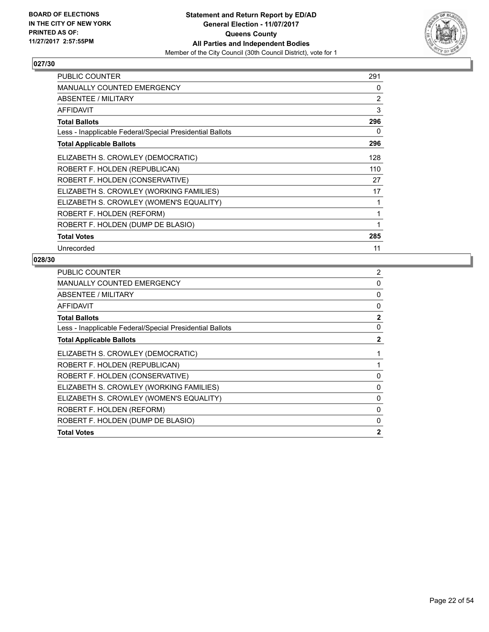

| <b>PUBLIC COUNTER</b>                                    | 291 |
|----------------------------------------------------------|-----|
| <b>MANUALLY COUNTED EMERGENCY</b>                        | 0   |
| ABSENTEE / MILITARY                                      | 2   |
| <b>AFFIDAVIT</b>                                         | 3   |
| <b>Total Ballots</b>                                     | 296 |
| Less - Inapplicable Federal/Special Presidential Ballots | 0   |
| <b>Total Applicable Ballots</b>                          | 296 |
| ELIZABETH S. CROWLEY (DEMOCRATIC)                        | 128 |
| ROBERT F. HOLDEN (REPUBLICAN)                            | 110 |
| ROBERT F. HOLDEN (CONSERVATIVE)                          | 27  |
| ELIZABETH S. CROWLEY (WORKING FAMILIES)                  | 17  |
| ELIZABETH S. CROWLEY (WOMEN'S EQUALITY)                  | 1   |
| ROBERT F. HOLDEN (REFORM)                                | 1   |
| ROBERT F. HOLDEN (DUMP DE BLASIO)                        | 1   |
| <b>Total Votes</b>                                       | 285 |
| Unrecorded                                               | 11  |

| <b>PUBLIC COUNTER</b>                                    | $\overline{2}$ |
|----------------------------------------------------------|----------------|
| <b>MANUALLY COUNTED EMERGENCY</b>                        | 0              |
| ABSENTEE / MILITARY                                      | 0              |
| <b>AFFIDAVIT</b>                                         | 0              |
| <b>Total Ballots</b>                                     | $\mathbf{2}$   |
| Less - Inapplicable Federal/Special Presidential Ballots | 0              |
| <b>Total Applicable Ballots</b>                          | $\mathbf{2}$   |
| ELIZABETH S. CROWLEY (DEMOCRATIC)                        |                |
| ROBERT F. HOLDEN (REPUBLICAN)                            |                |
| ROBERT F. HOLDEN (CONSERVATIVE)                          | 0              |
| ELIZABETH S. CROWLEY (WORKING FAMILIES)                  | 0              |
| ELIZABETH S. CROWLEY (WOMEN'S EQUALITY)                  | 0              |
| ROBERT F. HOLDEN (REFORM)                                | $\Omega$       |
| ROBERT F. HOLDEN (DUMP DE BLASIO)                        | 0              |
| <b>Total Votes</b>                                       | $\mathbf{2}$   |
|                                                          |                |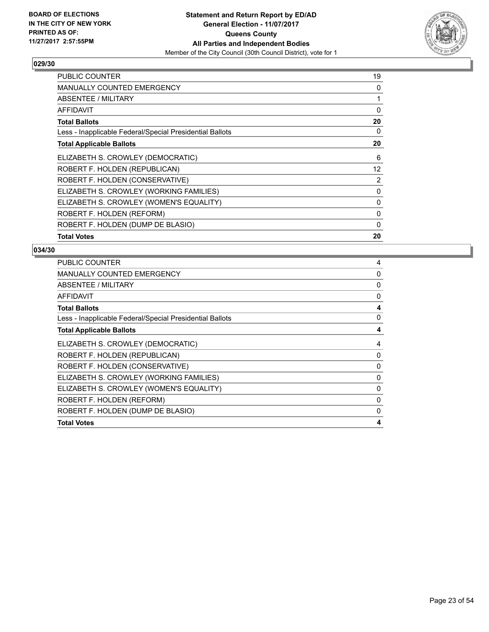

| <b>PUBLIC COUNTER</b>                                    | 19           |
|----------------------------------------------------------|--------------|
| <b>MANUALLY COUNTED EMERGENCY</b>                        | 0            |
| ABSENTEE / MILITARY                                      | 1            |
| AFFIDAVIT                                                | 0            |
| Total Ballots                                            | 20           |
| Less - Inapplicable Federal/Special Presidential Ballots | 0            |
| <b>Total Applicable Ballots</b>                          | 20           |
| ELIZABETH S. CROWLEY (DEMOCRATIC)                        | 6            |
| ROBERT F. HOLDEN (REPUBLICAN)                            | 12           |
| ROBERT F. HOLDEN (CONSERVATIVE)                          | 2            |
| ELIZABETH S. CROWLEY (WORKING FAMILIES)                  | 0            |
| ELIZABETH S. CROWLEY (WOMEN'S EQUALITY)                  | $\mathbf{0}$ |
| ROBERT F. HOLDEN (REFORM)                                | 0            |
| ROBERT F. HOLDEN (DUMP DE BLASIO)                        | 0            |
| <b>Total Votes</b>                                       | 20           |

| <b>PUBLIC COUNTER</b>                                    | 4 |
|----------------------------------------------------------|---|
| <b>MANUALLY COUNTED EMERGENCY</b>                        | 0 |
| ABSENTEE / MILITARY                                      | 0 |
| <b>AFFIDAVIT</b>                                         | 0 |
| <b>Total Ballots</b>                                     | 4 |
| Less - Inapplicable Federal/Special Presidential Ballots | 0 |
| <b>Total Applicable Ballots</b>                          | 4 |
| ELIZABETH S. CROWLEY (DEMOCRATIC)                        | 4 |
| ROBERT F. HOLDEN (REPUBLICAN)                            | 0 |
| ROBERT F. HOLDEN (CONSERVATIVE)                          | 0 |
| ELIZABETH S. CROWLEY (WORKING FAMILIES)                  | 0 |
| ELIZABETH S. CROWLEY (WOMEN'S EQUALITY)                  | 0 |
| ROBERT F. HOLDEN (REFORM)                                | 0 |
| ROBERT F. HOLDEN (DUMP DE BLASIO)                        | 0 |
| <b>Total Votes</b>                                       | 4 |
|                                                          |   |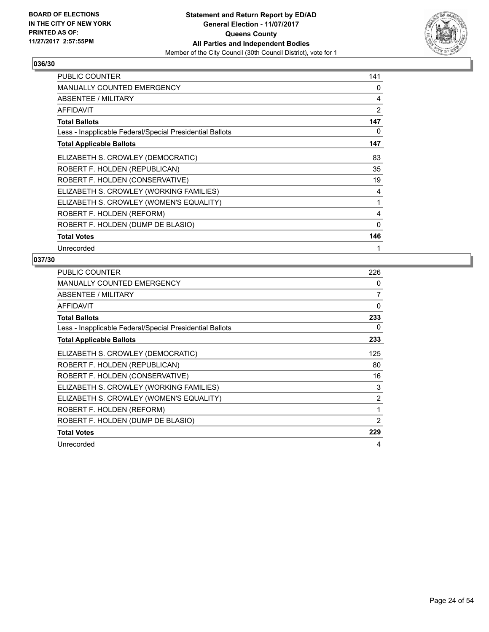

| <b>PUBLIC COUNTER</b>                                    | 141 |
|----------------------------------------------------------|-----|
| <b>MANUALLY COUNTED EMERGENCY</b>                        | 0   |
| ABSENTEE / MILITARY                                      | 4   |
| <b>AFFIDAVIT</b>                                         | 2   |
| <b>Total Ballots</b>                                     | 147 |
| Less - Inapplicable Federal/Special Presidential Ballots | 0   |
| <b>Total Applicable Ballots</b>                          | 147 |
| ELIZABETH S. CROWLEY (DEMOCRATIC)                        | 83  |
| ROBERT F. HOLDEN (REPUBLICAN)                            | 35  |
| ROBERT F. HOLDEN (CONSERVATIVE)                          | 19  |
| ELIZABETH S. CROWLEY (WORKING FAMILIES)                  | 4   |
| ELIZABETH S. CROWLEY (WOMEN'S EQUALITY)                  | 1   |
| ROBERT F. HOLDEN (REFORM)                                | 4   |
| ROBERT F. HOLDEN (DUMP DE BLASIO)                        | 0   |
| <b>Total Votes</b>                                       | 146 |
| Unrecorded                                               | 1   |

| <b>PUBLIC COUNTER</b>                                    | 226      |
|----------------------------------------------------------|----------|
| <b>MANUALLY COUNTED EMERGENCY</b>                        | 0        |
| ABSENTEE / MILITARY                                      | 7        |
| <b>AFFIDAVIT</b>                                         | $\Omega$ |
| <b>Total Ballots</b>                                     | 233      |
| Less - Inapplicable Federal/Special Presidential Ballots | 0        |
| <b>Total Applicable Ballots</b>                          | 233      |
| ELIZABETH S. CROWLEY (DEMOCRATIC)                        | 125      |
| ROBERT F. HOLDEN (REPUBLICAN)                            | 80       |
| ROBERT F. HOLDEN (CONSERVATIVE)                          | 16       |
| ELIZABETH S. CROWLEY (WORKING FAMILIES)                  | 3        |
| ELIZABETH S. CROWLEY (WOMEN'S EQUALITY)                  | 2        |
| ROBERT F. HOLDEN (REFORM)                                | 1        |
| ROBERT F. HOLDEN (DUMP DE BLASIO)                        | 2        |
| <b>Total Votes</b>                                       | 229      |
| Unrecorded                                               | 4        |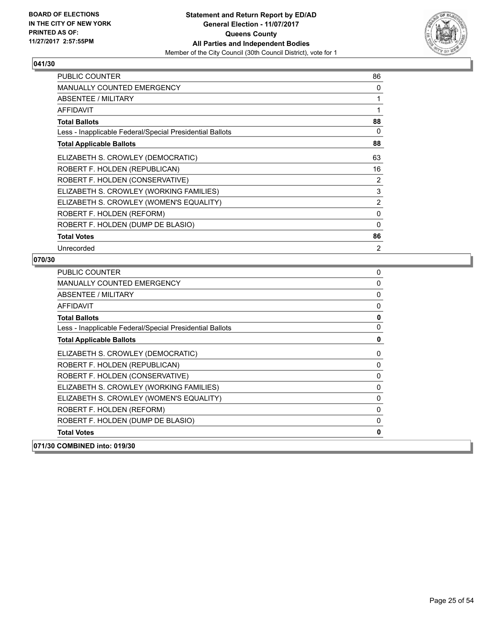

| <b>PUBLIC COUNTER</b>                                    | 86             |
|----------------------------------------------------------|----------------|
| <b>MANUALLY COUNTED EMERGENCY</b>                        | 0              |
| ABSENTEE / MILITARY                                      | 1              |
| <b>AFFIDAVIT</b>                                         | 1              |
| <b>Total Ballots</b>                                     | 88             |
| Less - Inapplicable Federal/Special Presidential Ballots | 0              |
| <b>Total Applicable Ballots</b>                          | 88             |
| ELIZABETH S. CROWLEY (DEMOCRATIC)                        | 63             |
| ROBERT F. HOLDEN (REPUBLICAN)                            | 16             |
| ROBERT F. HOLDEN (CONSERVATIVE)                          | 2              |
| ELIZABETH S. CROWLEY (WORKING FAMILIES)                  | 3              |
| ELIZABETH S. CROWLEY (WOMEN'S EQUALITY)                  | 2              |
| ROBERT F. HOLDEN (REFORM)                                | 0              |
| ROBERT F. HOLDEN (DUMP DE BLASIO)                        | 0              |
| <b>Total Votes</b>                                       | 86             |
| Unrecorded                                               | $\overline{2}$ |

| <b>PUBLIC COUNTER</b>                                    | 0           |
|----------------------------------------------------------|-------------|
| <b>MANUALLY COUNTED EMERGENCY</b>                        | 0           |
| ABSENTEE / MILITARY                                      | 0           |
| <b>AFFIDAVIT</b>                                         | 0           |
| <b>Total Ballots</b>                                     | $\mathbf 0$ |
| Less - Inapplicable Federal/Special Presidential Ballots | 0           |
| <b>Total Applicable Ballots</b>                          | 0           |
| ELIZABETH S. CROWLEY (DEMOCRATIC)                        | 0           |
| ROBERT F. HOLDEN (REPUBLICAN)                            | 0           |
| ROBERT F. HOLDEN (CONSERVATIVE)                          | 0           |
| ELIZABETH S. CROWLEY (WORKING FAMILIES)                  | 0           |
| ELIZABETH S. CROWLEY (WOMEN'S EQUALITY)                  | 0           |
| ROBERT F. HOLDEN (REFORM)                                | $\mathbf 0$ |
| ROBERT F. HOLDEN (DUMP DE BLASIO)                        | 0           |
| <b>Total Votes</b>                                       | 0           |
| 071/30 COMBINED into: 019/30                             |             |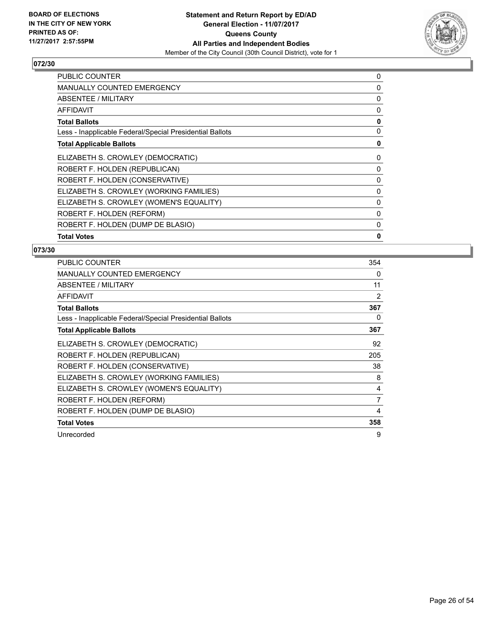

| PUBLIC COUNTER                                           | 0 |
|----------------------------------------------------------|---|
| MANUALLY COUNTED EMERGENCY                               | 0 |
| ABSENTEE / MILITARY                                      | 0 |
| <b>AFFIDAVIT</b>                                         | 0 |
| <b>Total Ballots</b>                                     | 0 |
| Less - Inapplicable Federal/Special Presidential Ballots | 0 |
| <b>Total Applicable Ballots</b>                          | 0 |
| ELIZABETH S. CROWLEY (DEMOCRATIC)                        | 0 |
| ROBERT F. HOLDEN (REPUBLICAN)                            | 0 |
| ROBERT F. HOLDEN (CONSERVATIVE)                          | 0 |
| ELIZABETH S. CROWLEY (WORKING FAMILIES)                  | 0 |
| ELIZABETH S. CROWLEY (WOMEN'S EQUALITY)                  | 0 |
| ROBERT F. HOLDEN (REFORM)                                | 0 |
| ROBERT F. HOLDEN (DUMP DE BLASIO)                        | 0 |
| <b>Total Votes</b>                                       | 0 |

| <b>PUBLIC COUNTER</b>                                    | 354 |
|----------------------------------------------------------|-----|
| <b>MANUALLY COUNTED EMERGENCY</b>                        | 0   |
| ABSENTEE / MILITARY                                      | 11  |
| AFFIDAVIT                                                | 2   |
| Total Ballots                                            | 367 |
| Less - Inapplicable Federal/Special Presidential Ballots | 0   |
| <b>Total Applicable Ballots</b>                          | 367 |
| ELIZABETH S. CROWLEY (DEMOCRATIC)                        | 92  |
| ROBERT F. HOLDEN (REPUBLICAN)                            | 205 |
| ROBERT F. HOLDEN (CONSERVATIVE)                          | 38  |
| ELIZABETH S. CROWLEY (WORKING FAMILIES)                  | 8   |
| ELIZABETH S. CROWLEY (WOMEN'S EQUALITY)                  | 4   |
| ROBERT F. HOLDEN (REFORM)                                | 7   |
| ROBERT F. HOLDEN (DUMP DE BLASIO)                        | 4   |
| <b>Total Votes</b>                                       | 358 |
| Unrecorded                                               | 9   |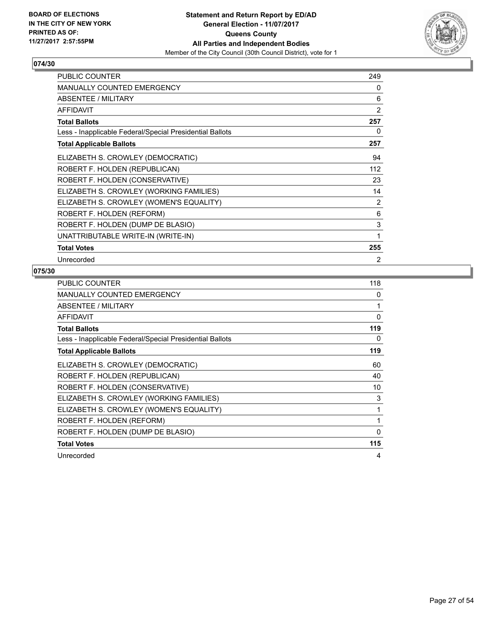

| <b>PUBLIC COUNTER</b>                                    | 249            |
|----------------------------------------------------------|----------------|
| <b>MANUALLY COUNTED EMERGENCY</b>                        | 0              |
| <b>ABSENTEE / MILITARY</b>                               | 6              |
| <b>AFFIDAVIT</b>                                         | $\overline{2}$ |
| <b>Total Ballots</b>                                     | 257            |
| Less - Inapplicable Federal/Special Presidential Ballots | 0              |
| <b>Total Applicable Ballots</b>                          | 257            |
| ELIZABETH S. CROWLEY (DEMOCRATIC)                        | 94             |
| ROBERT F. HOLDEN (REPUBLICAN)                            | 112            |
| ROBERT F. HOLDEN (CONSERVATIVE)                          | 23             |
| ELIZABETH S. CROWLEY (WORKING FAMILIES)                  | 14             |
| ELIZABETH S. CROWLEY (WOMEN'S EQUALITY)                  | $\overline{2}$ |
| ROBERT F. HOLDEN (REFORM)                                | 6              |
| ROBERT F. HOLDEN (DUMP DE BLASIO)                        | 3              |
| UNATTRIBUTABLE WRITE-IN (WRITE-IN)                       | 1              |
| <b>Total Votes</b>                                       | 255            |
| Unrecorded                                               | $\overline{2}$ |

| <b>PUBLIC COUNTER</b>                                    | 118      |
|----------------------------------------------------------|----------|
| <b>MANUALLY COUNTED EMERGENCY</b>                        | 0        |
| ABSENTEE / MILITARY                                      | 1        |
| <b>AFFIDAVIT</b>                                         | 0        |
| <b>Total Ballots</b>                                     | 119      |
| Less - Inapplicable Federal/Special Presidential Ballots | 0        |
| <b>Total Applicable Ballots</b>                          | 119      |
| ELIZABETH S. CROWLEY (DEMOCRATIC)                        | 60       |
| ROBERT F. HOLDEN (REPUBLICAN)                            | 40       |
| ROBERT F. HOLDEN (CONSERVATIVE)                          | 10       |
| ELIZABETH S. CROWLEY (WORKING FAMILIES)                  | 3        |
| ELIZABETH S. CROWLEY (WOMEN'S EQUALITY)                  | 1        |
| ROBERT F. HOLDEN (REFORM)                                | 1        |
| ROBERT F. HOLDEN (DUMP DE BLASIO)                        | $\Omega$ |
| <b>Total Votes</b>                                       | 115      |
| Unrecorded                                               | 4        |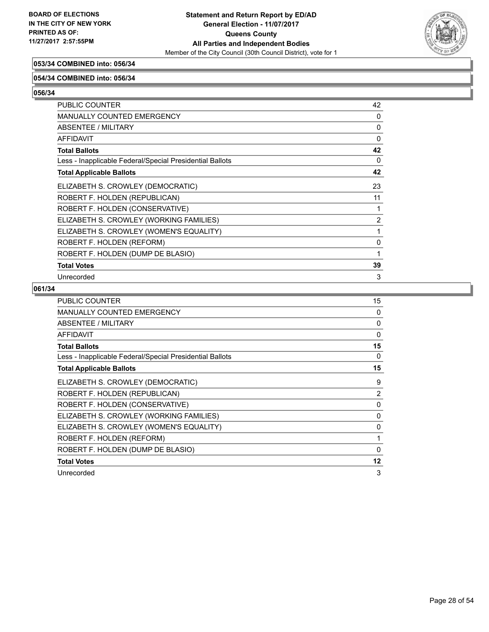

# **053/34 COMBINED into: 056/34**

#### **054/34 COMBINED into: 056/34**

**056/34** 

| PUBLIC COUNTER                                           | 42           |
|----------------------------------------------------------|--------------|
| <b>MANUALLY COUNTED EMERGENCY</b>                        | 0            |
| <b>ABSENTEE / MILITARY</b>                               | $\mathbf{0}$ |
| <b>AFFIDAVIT</b>                                         | 0            |
| <b>Total Ballots</b>                                     | 42           |
| Less - Inapplicable Federal/Special Presidential Ballots | 0            |
| <b>Total Applicable Ballots</b>                          | 42           |
| ELIZABETH S. CROWLEY (DEMOCRATIC)                        | 23           |
| ROBERT F. HOLDEN (REPUBLICAN)                            | 11           |
| ROBERT F. HOLDEN (CONSERVATIVE)                          | 1            |
| ELIZABETH S. CROWLEY (WORKING FAMILIES)                  | 2            |
| ELIZABETH S. CROWLEY (WOMEN'S EQUALITY)                  | 1            |
| ROBERT F. HOLDEN (REFORM)                                | 0            |
| ROBERT F. HOLDEN (DUMP DE BLASIO)                        | 1            |
| <b>Total Votes</b>                                       | 39           |
| Unrecorded                                               | 3            |

| <b>PUBLIC COUNTER</b>                                    | 15             |
|----------------------------------------------------------|----------------|
| <b>MANUALLY COUNTED EMERGENCY</b>                        | 0              |
| ABSENTEE / MILITARY                                      | 0              |
| <b>AFFIDAVIT</b>                                         | $\Omega$       |
| <b>Total Ballots</b>                                     | 15             |
| Less - Inapplicable Federal/Special Presidential Ballots | 0              |
| <b>Total Applicable Ballots</b>                          | 15             |
| ELIZABETH S. CROWLEY (DEMOCRATIC)                        | 9              |
| ROBERT F. HOLDEN (REPUBLICAN)                            | $\overline{2}$ |
| ROBERT F. HOLDEN (CONSERVATIVE)                          | $\Omega$       |
| ELIZABETH S. CROWLEY (WORKING FAMILIES)                  | 0              |
| ELIZABETH S. CROWLEY (WOMEN'S EQUALITY)                  | 0              |
| ROBERT F. HOLDEN (REFORM)                                | 1              |
| ROBERT F. HOLDEN (DUMP DE BLASIO)                        | $\Omega$       |
| <b>Total Votes</b>                                       | 12             |
| Unrecorded                                               | 3              |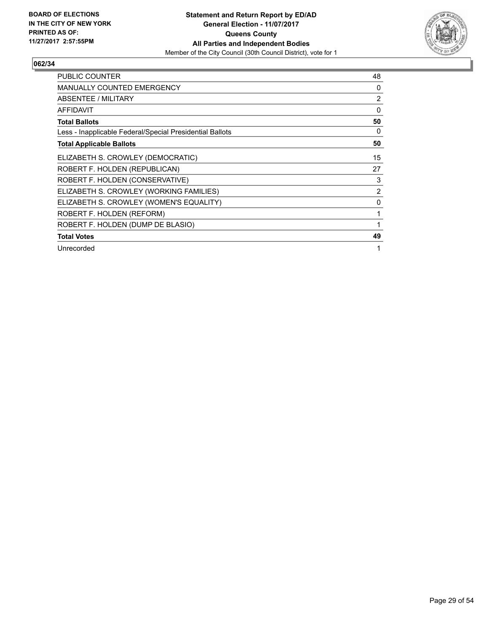

| <b>PUBLIC COUNTER</b>                                    | 48       |
|----------------------------------------------------------|----------|
| MANUALLY COUNTED EMERGENCY                               | 0        |
| <b>ABSENTEE / MILITARY</b>                               | 2        |
| <b>AFFIDAVIT</b>                                         | $\Omega$ |
| <b>Total Ballots</b>                                     | 50       |
| Less - Inapplicable Federal/Special Presidential Ballots | 0        |
| <b>Total Applicable Ballots</b>                          | 50       |
| ELIZABETH S. CROWLEY (DEMOCRATIC)                        | 15       |
| ROBERT F. HOLDEN (REPUBLICAN)                            | 27       |
| ROBERT F. HOLDEN (CONSERVATIVE)                          | 3        |
| ELIZABETH S. CROWLEY (WORKING FAMILIES)                  | 2        |
| ELIZABETH S. CROWLEY (WOMEN'S EQUALITY)                  | 0        |
| ROBERT F. HOLDEN (REFORM)                                | 1        |
| ROBERT F. HOLDEN (DUMP DE BLASIO)                        | 1        |
| <b>Total Votes</b>                                       | 49       |
| Unrecorded                                               | 1        |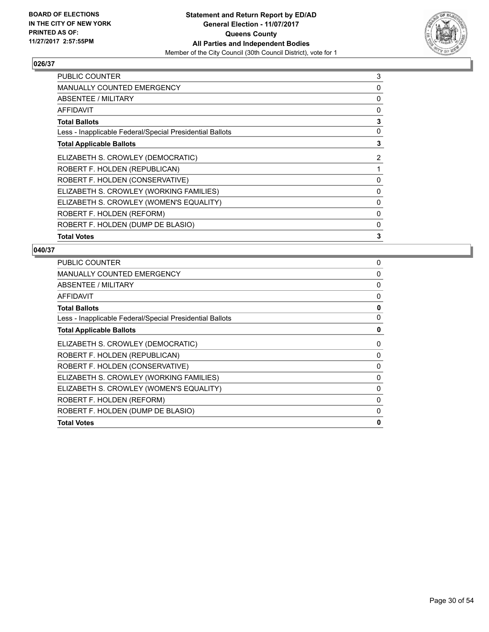

| PUBLIC COUNTER                                           | 3 |
|----------------------------------------------------------|---|
| <b>MANUALLY COUNTED EMERGENCY</b>                        | 0 |
| <b>ABSENTEE / MILITARY</b>                               | 0 |
| AFFIDAVIT                                                | 0 |
| <b>Total Ballots</b>                                     | 3 |
| Less - Inapplicable Federal/Special Presidential Ballots | 0 |
| <b>Total Applicable Ballots</b>                          | 3 |
| ELIZABETH S. CROWLEY (DEMOCRATIC)                        | 2 |
| ROBERT F. HOLDEN (REPUBLICAN)                            | 1 |
| ROBERT F. HOLDEN (CONSERVATIVE)                          | 0 |
| ELIZABETH S. CROWLEY (WORKING FAMILIES)                  | 0 |
| ELIZABETH S. CROWLEY (WOMEN'S EQUALITY)                  | 0 |
| ROBERT F. HOLDEN (REFORM)                                | 0 |
| ROBERT F. HOLDEN (DUMP DE BLASIO)                        | 0 |
| <b>Total Votes</b>                                       | 3 |

| <b>PUBLIC COUNTER</b>                                    | 0           |
|----------------------------------------------------------|-------------|
| <b>MANUALLY COUNTED EMERGENCY</b>                        | 0           |
| ABSENTEE / MILITARY                                      | 0           |
| <b>AFFIDAVIT</b>                                         | 0           |
| <b>Total Ballots</b>                                     | $\mathbf 0$ |
| Less - Inapplicable Federal/Special Presidential Ballots | 0           |
| <b>Total Applicable Ballots</b>                          | 0           |
| ELIZABETH S. CROWLEY (DEMOCRATIC)                        | 0           |
| ROBERT F. HOLDEN (REPUBLICAN)                            | 0           |
| ROBERT F. HOLDEN (CONSERVATIVE)                          | 0           |
| ELIZABETH S. CROWLEY (WORKING FAMILIES)                  | 0           |
| ELIZABETH S. CROWLEY (WOMEN'S EQUALITY)                  | 0           |
| ROBERT F. HOLDEN (REFORM)                                | 0           |
| ROBERT F. HOLDEN (DUMP DE BLASIO)                        | 0           |
| <b>Total Votes</b>                                       | 0           |
|                                                          |             |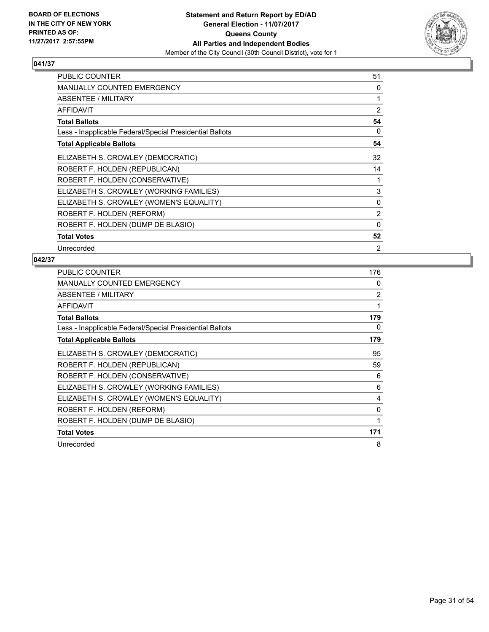

| PUBLIC COUNTER                                           | 51             |
|----------------------------------------------------------|----------------|
| <b>MANUALLY COUNTED EMERGENCY</b>                        | 0              |
| ABSENTEE / MILITARY                                      | 1              |
| <b>AFFIDAVIT</b>                                         | 2              |
| <b>Total Ballots</b>                                     | 54             |
| Less - Inapplicable Federal/Special Presidential Ballots | 0              |
| <b>Total Applicable Ballots</b>                          | 54             |
| ELIZABETH S. CROWLEY (DEMOCRATIC)                        | 32             |
| ROBERT F. HOLDEN (REPUBLICAN)                            | 14             |
| ROBERT F. HOLDEN (CONSERVATIVE)                          | 1              |
| ELIZABETH S. CROWLEY (WORKING FAMILIES)                  | 3              |
| ELIZABETH S. CROWLEY (WOMEN'S EQUALITY)                  | $\mathbf{0}$   |
| ROBERT F. HOLDEN (REFORM)                                | 2              |
| ROBERT F. HOLDEN (DUMP DE BLASIO)                        | $\Omega$       |
| <b>Total Votes</b>                                       | 52             |
| Unrecorded                                               | $\overline{2}$ |

| <b>PUBLIC COUNTER</b>                                    | 176          |
|----------------------------------------------------------|--------------|
| <b>MANUALLY COUNTED EMERGENCY</b>                        | 0            |
| ABSENTEE / MILITARY                                      | 2            |
| <b>AFFIDAVIT</b>                                         | $\mathbf{1}$ |
| <b>Total Ballots</b>                                     | 179          |
| Less - Inapplicable Federal/Special Presidential Ballots | 0            |
| <b>Total Applicable Ballots</b>                          | 179          |
| ELIZABETH S. CROWLEY (DEMOCRATIC)                        | 95           |
| ROBERT F. HOLDEN (REPUBLICAN)                            | 59           |
| ROBERT F. HOLDEN (CONSERVATIVE)                          | 6            |
| ELIZABETH S. CROWLEY (WORKING FAMILIES)                  | 6            |
| ELIZABETH S. CROWLEY (WOMEN'S EQUALITY)                  | 4            |
| ROBERT F. HOLDEN (REFORM)                                | $\mathbf{0}$ |
| ROBERT F. HOLDEN (DUMP DE BLASIO)                        | 1            |
| <b>Total Votes</b>                                       | 171          |
| Unrecorded                                               | 8            |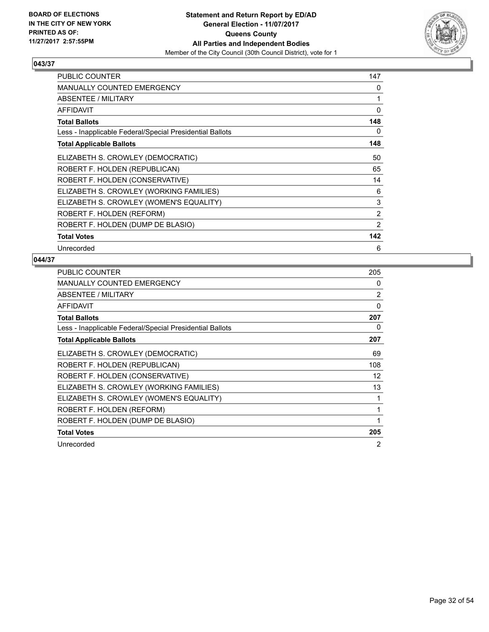

| <b>PUBLIC COUNTER</b>                                    | 147 |
|----------------------------------------------------------|-----|
| <b>MANUALLY COUNTED EMERGENCY</b>                        | 0   |
| ABSENTEE / MILITARY                                      | 1   |
| <b>AFFIDAVIT</b>                                         | 0   |
| <b>Total Ballots</b>                                     | 148 |
| Less - Inapplicable Federal/Special Presidential Ballots | 0   |
| <b>Total Applicable Ballots</b>                          | 148 |
| ELIZABETH S. CROWLEY (DEMOCRATIC)                        | 50  |
| ROBERT F. HOLDEN (REPUBLICAN)                            | 65  |
| ROBERT F. HOLDEN (CONSERVATIVE)                          | 14  |
| ELIZABETH S. CROWLEY (WORKING FAMILIES)                  | 6   |
| ELIZABETH S. CROWLEY (WOMEN'S EQUALITY)                  | 3   |
| ROBERT F. HOLDEN (REFORM)                                | 2   |
| ROBERT F. HOLDEN (DUMP DE BLASIO)                        | 2   |
| <b>Total Votes</b>                                       | 142 |
| Unrecorded                                               | 6   |

| <b>PUBLIC COUNTER</b>                                    | 205            |
|----------------------------------------------------------|----------------|
| <b>MANUALLY COUNTED EMERGENCY</b>                        | 0              |
| ABSENTEE / MILITARY                                      | 2              |
| <b>AFFIDAVIT</b>                                         | $\Omega$       |
| <b>Total Ballots</b>                                     | 207            |
| Less - Inapplicable Federal/Special Presidential Ballots | 0              |
| <b>Total Applicable Ballots</b>                          | 207            |
| ELIZABETH S. CROWLEY (DEMOCRATIC)                        | 69             |
| ROBERT F. HOLDEN (REPUBLICAN)                            | 108            |
| ROBERT F. HOLDEN (CONSERVATIVE)                          | 12             |
| ELIZABETH S. CROWLEY (WORKING FAMILIES)                  | 13             |
| ELIZABETH S. CROWLEY (WOMEN'S EQUALITY)                  | 1              |
| ROBERT F. HOLDEN (REFORM)                                | 1              |
| ROBERT F. HOLDEN (DUMP DE BLASIO)                        | 1              |
| <b>Total Votes</b>                                       | 205            |
| Unrecorded                                               | $\overline{2}$ |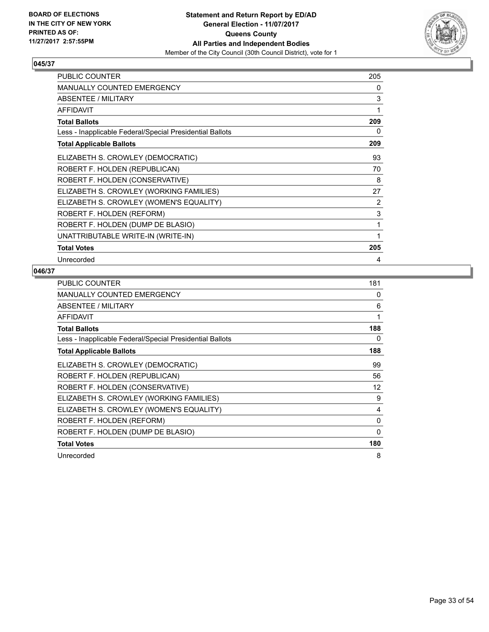

| <b>PUBLIC COUNTER</b>                                    | 205 |
|----------------------------------------------------------|-----|
| <b>MANUALLY COUNTED EMERGENCY</b>                        | 0   |
| <b>ABSENTEE / MILITARY</b>                               | 3   |
| <b>AFFIDAVIT</b>                                         | 1   |
| <b>Total Ballots</b>                                     | 209 |
| Less - Inapplicable Federal/Special Presidential Ballots | 0   |
| <b>Total Applicable Ballots</b>                          | 209 |
| ELIZABETH S. CROWLEY (DEMOCRATIC)                        | 93  |
| ROBERT F. HOLDEN (REPUBLICAN)                            | 70  |
| ROBERT F. HOLDEN (CONSERVATIVE)                          | 8   |
| ELIZABETH S. CROWLEY (WORKING FAMILIES)                  | 27  |
| ELIZABETH S. CROWLEY (WOMEN'S EQUALITY)                  | 2   |
| ROBERT F. HOLDEN (REFORM)                                | 3   |
| ROBERT F. HOLDEN (DUMP DE BLASIO)                        | 1   |
| UNATTRIBUTABLE WRITE-IN (WRITE-IN)                       | 1   |
| <b>Total Votes</b>                                       | 205 |
| Unrecorded                                               | 4   |

| <b>PUBLIC COUNTER</b>                                    | 181      |
|----------------------------------------------------------|----------|
| MANUALLY COUNTED EMERGENCY                               | 0        |
| ABSENTEE / MILITARY                                      | 6        |
| AFFIDAVIT                                                | 1        |
| <b>Total Ballots</b>                                     | 188      |
| Less - Inapplicable Federal/Special Presidential Ballots | 0        |
| <b>Total Applicable Ballots</b>                          | 188      |
| ELIZABETH S. CROWLEY (DEMOCRATIC)                        | 99       |
| ROBERT F. HOLDEN (REPUBLICAN)                            | 56       |
| ROBERT F. HOLDEN (CONSERVATIVE)                          | 12       |
| ELIZABETH S. CROWLEY (WORKING FAMILIES)                  | 9        |
| ELIZABETH S. CROWLEY (WOMEN'S EQUALITY)                  | 4        |
| ROBERT F. HOLDEN (REFORM)                                | 0        |
| ROBERT F. HOLDEN (DUMP DE BLASIO)                        | $\Omega$ |
| <b>Total Votes</b>                                       | 180      |
| Unrecorded                                               | 8        |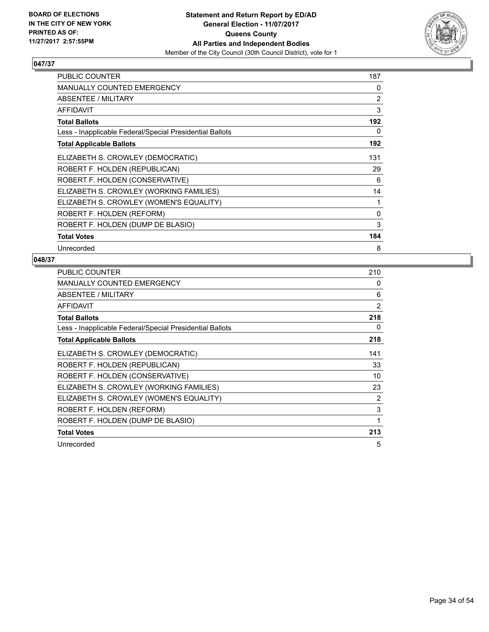

| <b>PUBLIC COUNTER</b>                                    | 187 |
|----------------------------------------------------------|-----|
| MANUALLY COUNTED EMERGENCY                               | 0   |
| ABSENTEE / MILITARY                                      | 2   |
| <b>AFFIDAVIT</b>                                         | 3   |
| <b>Total Ballots</b>                                     | 192 |
| Less - Inapplicable Federal/Special Presidential Ballots | 0   |
| <b>Total Applicable Ballots</b>                          | 192 |
| ELIZABETH S. CROWLEY (DEMOCRATIC)                        | 131 |
| ROBERT F. HOLDEN (REPUBLICAN)                            | 29  |
| ROBERT F. HOLDEN (CONSERVATIVE)                          | 6   |
| ELIZABETH S. CROWLEY (WORKING FAMILIES)                  | 14  |
| ELIZABETH S. CROWLEY (WOMEN'S EQUALITY)                  | 1   |
| ROBERT F. HOLDEN (REFORM)                                | 0   |
| ROBERT F. HOLDEN (DUMP DE BLASIO)                        | 3   |
| <b>Total Votes</b>                                       | 184 |
| Unrecorded                                               | 8   |

| PUBLIC COUNTER                                           | 210 |
|----------------------------------------------------------|-----|
| <b>MANUALLY COUNTED EMERGENCY</b>                        | 0   |
| ABSENTEE / MILITARY                                      | 6   |
| <b>AFFIDAVIT</b>                                         | 2   |
| <b>Total Ballots</b>                                     | 218 |
| Less - Inapplicable Federal/Special Presidential Ballots | 0   |
| <b>Total Applicable Ballots</b>                          | 218 |
| ELIZABETH S. CROWLEY (DEMOCRATIC)                        | 141 |
| ROBERT F. HOLDEN (REPUBLICAN)                            | 33  |
| ROBERT F. HOLDEN (CONSERVATIVE)                          | 10  |
| ELIZABETH S. CROWLEY (WORKING FAMILIES)                  | 23  |
| ELIZABETH S. CROWLEY (WOMEN'S EQUALITY)                  | 2   |
| ROBERT F. HOLDEN (REFORM)                                | 3   |
| ROBERT F. HOLDEN (DUMP DE BLASIO)                        | 1   |
| <b>Total Votes</b>                                       | 213 |
| Unrecorded                                               | 5   |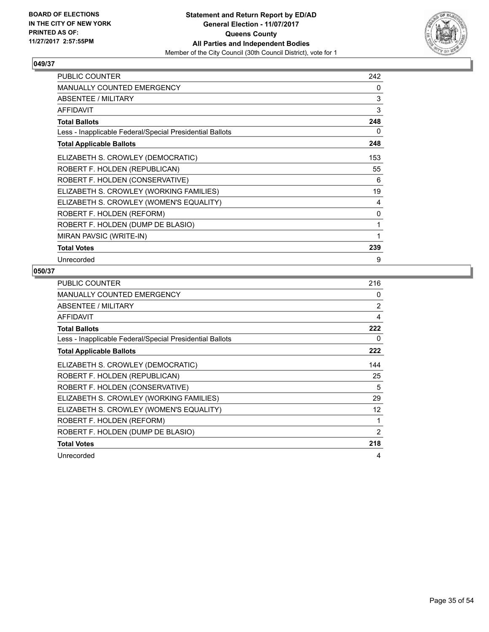

| <b>PUBLIC COUNTER</b>                                    | 242 |
|----------------------------------------------------------|-----|
| <b>MANUALLY COUNTED EMERGENCY</b>                        | 0   |
| <b>ABSENTEE / MILITARY</b>                               | 3   |
| <b>AFFIDAVIT</b>                                         | 3   |
| <b>Total Ballots</b>                                     | 248 |
| Less - Inapplicable Federal/Special Presidential Ballots | 0   |
| <b>Total Applicable Ballots</b>                          | 248 |
| ELIZABETH S. CROWLEY (DEMOCRATIC)                        | 153 |
| ROBERT F. HOLDEN (REPUBLICAN)                            | 55  |
| ROBERT F. HOLDEN (CONSERVATIVE)                          | 6   |
| ELIZABETH S. CROWLEY (WORKING FAMILIES)                  | 19  |
| ELIZABETH S. CROWLEY (WOMEN'S EQUALITY)                  | 4   |
| ROBERT F. HOLDEN (REFORM)                                | 0   |
| ROBERT F. HOLDEN (DUMP DE BLASIO)                        | 1   |
| MIRAN PAVSIC (WRITE-IN)                                  | 1   |
| <b>Total Votes</b>                                       | 239 |
| Unrecorded                                               | 9   |

| <b>PUBLIC COUNTER</b>                                    | 216 |
|----------------------------------------------------------|-----|
| <b>MANUALLY COUNTED EMERGENCY</b>                        | 0   |
| ABSENTEE / MILITARY                                      | 2   |
| <b>AFFIDAVIT</b>                                         | 4   |
| <b>Total Ballots</b>                                     | 222 |
| Less - Inapplicable Federal/Special Presidential Ballots | 0   |
| <b>Total Applicable Ballots</b>                          | 222 |
| ELIZABETH S. CROWLEY (DEMOCRATIC)                        | 144 |
| ROBERT F. HOLDEN (REPUBLICAN)                            | 25  |
| ROBERT F. HOLDEN (CONSERVATIVE)                          | 5   |
| ELIZABETH S. CROWLEY (WORKING FAMILIES)                  | 29  |
| ELIZABETH S. CROWLEY (WOMEN'S EQUALITY)                  | 12  |
| ROBERT F. HOLDEN (REFORM)                                | 1   |
| ROBERT F. HOLDEN (DUMP DE BLASIO)                        | 2   |
| <b>Total Votes</b>                                       | 218 |
| Unrecorded                                               | 4   |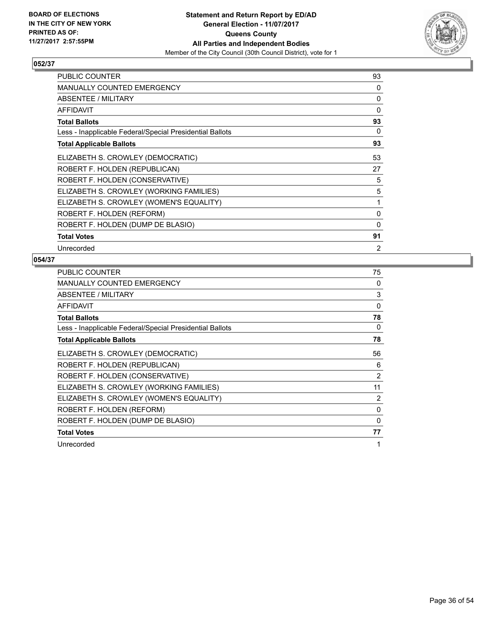

| <b>PUBLIC COUNTER</b>                                    | 93       |
|----------------------------------------------------------|----------|
| MANUALLY COUNTED EMERGENCY                               | 0        |
| ABSENTEE / MILITARY                                      | 0        |
| <b>AFFIDAVIT</b>                                         | $\Omega$ |
| <b>Total Ballots</b>                                     | 93       |
| Less - Inapplicable Federal/Special Presidential Ballots | 0        |
| <b>Total Applicable Ballots</b>                          | 93       |
| ELIZABETH S. CROWLEY (DEMOCRATIC)                        | 53       |
| ROBERT F. HOLDEN (REPUBLICAN)                            | 27       |
| ROBERT F. HOLDEN (CONSERVATIVE)                          | 5        |
| ELIZABETH S. CROWLEY (WORKING FAMILIES)                  | 5        |
| ELIZABETH S. CROWLEY (WOMEN'S EQUALITY)                  | 1        |
| ROBERT F. HOLDEN (REFORM)                                | 0        |
| ROBERT F. HOLDEN (DUMP DE BLASIO)                        | 0        |
| <b>Total Votes</b>                                       | 91       |
| Unrecorded                                               | 2        |

| <b>PUBLIC COUNTER</b>                                    | 75       |
|----------------------------------------------------------|----------|
| <b>MANUALLY COUNTED EMERGENCY</b>                        | 0        |
| ABSENTEE / MILITARY                                      | 3        |
| <b>AFFIDAVIT</b>                                         | $\Omega$ |
| <b>Total Ballots</b>                                     | 78       |
| Less - Inapplicable Federal/Special Presidential Ballots | 0        |
| <b>Total Applicable Ballots</b>                          | 78       |
| ELIZABETH S. CROWLEY (DEMOCRATIC)                        | 56       |
| ROBERT F. HOLDEN (REPUBLICAN)                            | 6        |
| ROBERT F. HOLDEN (CONSERVATIVE)                          | 2        |
| ELIZABETH S. CROWLEY (WORKING FAMILIES)                  | 11       |
| ELIZABETH S. CROWLEY (WOMEN'S EQUALITY)                  | 2        |
| ROBERT F. HOLDEN (REFORM)                                | $\Omega$ |
| ROBERT F. HOLDEN (DUMP DE BLASIO)                        | 0        |
| <b>Total Votes</b>                                       | 77       |
| Unrecorded                                               | 1        |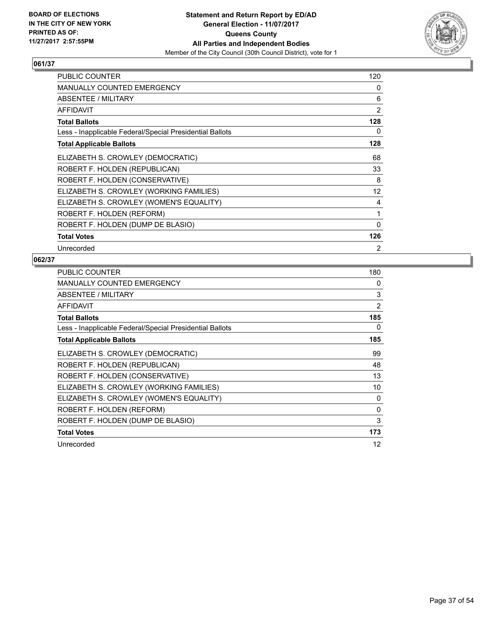

| <b>PUBLIC COUNTER</b>                                    | 120            |
|----------------------------------------------------------|----------------|
| <b>MANUALLY COUNTED EMERGENCY</b>                        | 0              |
| ABSENTEE / MILITARY                                      | 6              |
| <b>AFFIDAVIT</b>                                         | 2              |
| <b>Total Ballots</b>                                     | 128            |
| Less - Inapplicable Federal/Special Presidential Ballots | 0              |
| <b>Total Applicable Ballots</b>                          | 128            |
| ELIZABETH S. CROWLEY (DEMOCRATIC)                        | 68             |
| ROBERT F. HOLDEN (REPUBLICAN)                            | 33             |
| ROBERT F. HOLDEN (CONSERVATIVE)                          | 8              |
| ELIZABETH S. CROWLEY (WORKING FAMILIES)                  | 12             |
| ELIZABETH S. CROWLEY (WOMEN'S EQUALITY)                  | 4              |
| ROBERT F. HOLDEN (REFORM)                                | 1              |
| ROBERT F. HOLDEN (DUMP DE BLASIO)                        | 0              |
| <b>Total Votes</b>                                       | 126            |
| Unrecorded                                               | $\overline{2}$ |

| <b>PUBLIC COUNTER</b>                                    | 180            |
|----------------------------------------------------------|----------------|
| <b>MANUALLY COUNTED EMERGENCY</b>                        | 0              |
| ABSENTEE / MILITARY                                      | 3              |
| <b>AFFIDAVIT</b>                                         | $\overline{2}$ |
| <b>Total Ballots</b>                                     | 185            |
| Less - Inapplicable Federal/Special Presidential Ballots | 0              |
| <b>Total Applicable Ballots</b>                          | 185            |
| ELIZABETH S. CROWLEY (DEMOCRATIC)                        | 99             |
| ROBERT F. HOLDEN (REPUBLICAN)                            | 48             |
| ROBERT F. HOLDEN (CONSERVATIVE)                          | 13             |
| ELIZABETH S. CROWLEY (WORKING FAMILIES)                  | 10             |
| ELIZABETH S. CROWLEY (WOMEN'S EQUALITY)                  | 0              |
| ROBERT F. HOLDEN (REFORM)                                | $\Omega$       |
| ROBERT F. HOLDEN (DUMP DE BLASIO)                        | 3              |
| <b>Total Votes</b>                                       | 173            |
| Unrecorded                                               | 12             |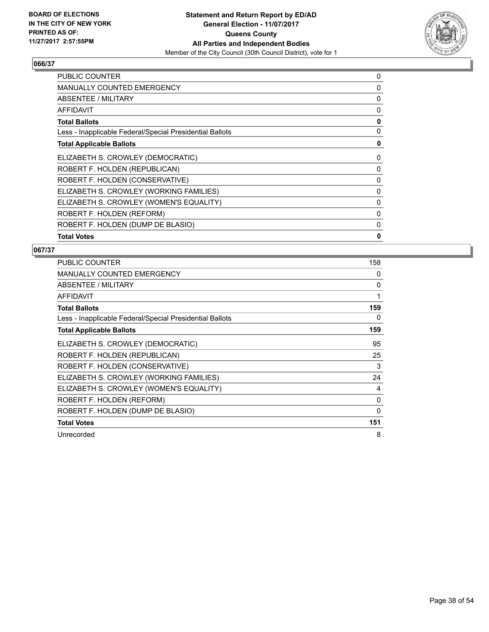

| <b>PUBLIC COUNTER</b>                                    | 0 |
|----------------------------------------------------------|---|
| <b>MANUALLY COUNTED EMERGENCY</b>                        | 0 |
| ABSENTEE / MILITARY                                      | 0 |
| <b>AFFIDAVIT</b>                                         | 0 |
| <b>Total Ballots</b>                                     | 0 |
| Less - Inapplicable Federal/Special Presidential Ballots | 0 |
| <b>Total Applicable Ballots</b>                          | 0 |
| ELIZABETH S. CROWLEY (DEMOCRATIC)                        | 0 |
| ROBERT F. HOLDEN (REPUBLICAN)                            | 0 |
| ROBERT F. HOLDEN (CONSERVATIVE)                          | 0 |
| ELIZABETH S. CROWLEY (WORKING FAMILIES)                  | 0 |
| ELIZABETH S. CROWLEY (WOMEN'S EQUALITY)                  | 0 |
| ROBERT F. HOLDEN (REFORM)                                | 0 |
| ROBERT F. HOLDEN (DUMP DE BLASIO)                        | 0 |
| <b>Total Votes</b>                                       | 0 |

| <b>PUBLIC COUNTER</b>                                    | 158 |
|----------------------------------------------------------|-----|
| <b>MANUALLY COUNTED EMERGENCY</b>                        | 0   |
| ABSENTEE / MILITARY                                      | 0   |
| <b>AFFIDAVIT</b>                                         | 1   |
| <b>Total Ballots</b>                                     | 159 |
| Less - Inapplicable Federal/Special Presidential Ballots | 0   |
| <b>Total Applicable Ballots</b>                          | 159 |
| ELIZABETH S. CROWLEY (DEMOCRATIC)                        | 95  |
| ROBERT F. HOLDEN (REPUBLICAN)                            | 25  |
| ROBERT F. HOLDEN (CONSERVATIVE)                          | 3   |
| ELIZABETH S. CROWLEY (WORKING FAMILIES)                  | 24  |
| ELIZABETH S. CROWLEY (WOMEN'S EQUALITY)                  | 4   |
| ROBERT F. HOLDEN (REFORM)                                | 0   |
| ROBERT F. HOLDEN (DUMP DE BLASIO)                        | 0   |
| <b>Total Votes</b>                                       | 151 |
| Unrecorded                                               | 8   |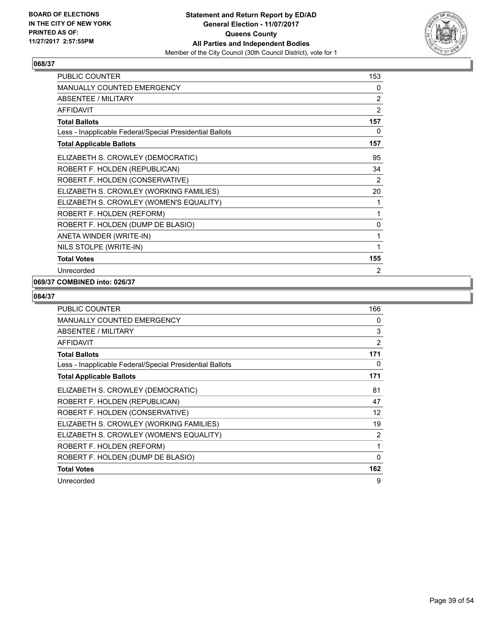

| <b>PUBLIC COUNTER</b>                                    | 153            |
|----------------------------------------------------------|----------------|
| <b>MANUALLY COUNTED EMERGENCY</b>                        | 0              |
| <b>ABSENTEE / MILITARY</b>                               | 2              |
| <b>AFFIDAVIT</b>                                         | 2              |
| <b>Total Ballots</b>                                     | 157            |
| Less - Inapplicable Federal/Special Presidential Ballots | 0              |
| <b>Total Applicable Ballots</b>                          | 157            |
| ELIZABETH S. CROWLEY (DEMOCRATIC)                        | 95             |
| ROBERT F. HOLDEN (REPUBLICAN)                            | 34             |
| ROBERT F. HOLDEN (CONSERVATIVE)                          | 2              |
| ELIZABETH S. CROWLEY (WORKING FAMILIES)                  | 20             |
| ELIZABETH S. CROWLEY (WOMEN'S EQUALITY)                  | 1              |
| ROBERT F. HOLDEN (REFORM)                                | 1              |
| ROBERT F. HOLDEN (DUMP DE BLASIO)                        | 0              |
| ANETA WINDER (WRITE-IN)                                  | 1              |
| NILS STOLPE (WRITE-IN)                                   | 1              |
| <b>Total Votes</b>                                       | 155            |
| Unrecorded                                               | $\overline{2}$ |

# **069/37 COMBINED into: 026/37**

| PUBLIC COUNTER                                           | 166 |
|----------------------------------------------------------|-----|
| <b>MANUALLY COUNTED EMERGENCY</b>                        | 0   |
| ABSENTEE / MILITARY                                      | 3   |
| <b>AFFIDAVIT</b>                                         | 2   |
| <b>Total Ballots</b>                                     | 171 |
| Less - Inapplicable Federal/Special Presidential Ballots | 0   |
| <b>Total Applicable Ballots</b>                          | 171 |
| ELIZABETH S. CROWLEY (DEMOCRATIC)                        | 81  |
| ROBERT F. HOLDEN (REPUBLICAN)                            | 47  |
| ROBERT F. HOLDEN (CONSERVATIVE)                          | 12  |
| ELIZABETH S. CROWLEY (WORKING FAMILIES)                  | 19  |
| ELIZABETH S. CROWLEY (WOMEN'S EQUALITY)                  | 2   |
| ROBERT F. HOLDEN (REFORM)                                | 1   |
| ROBERT F. HOLDEN (DUMP DE BLASIO)                        | 0   |
| <b>Total Votes</b>                                       | 162 |
| Unrecorded                                               | 9   |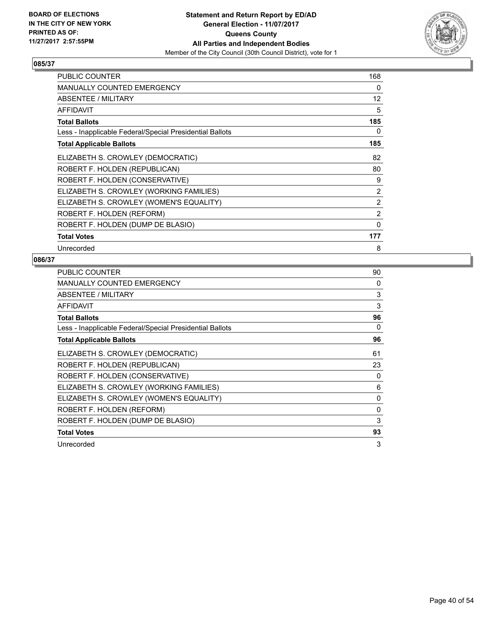

| PUBLIC COUNTER                                           | 168 |
|----------------------------------------------------------|-----|
| <b>MANUALLY COUNTED EMERGENCY</b>                        | 0   |
| ABSENTEE / MILITARY                                      | 12  |
| <b>AFFIDAVIT</b>                                         | 5   |
| <b>Total Ballots</b>                                     | 185 |
| Less - Inapplicable Federal/Special Presidential Ballots | 0   |
| <b>Total Applicable Ballots</b>                          | 185 |
| ELIZABETH S. CROWLEY (DEMOCRATIC)                        | 82  |
| ROBERT F. HOLDEN (REPUBLICAN)                            | 80  |
| ROBERT F. HOLDEN (CONSERVATIVE)                          | 9   |
| ELIZABETH S. CROWLEY (WORKING FAMILIES)                  | 2   |
| ELIZABETH S. CROWLEY (WOMEN'S EQUALITY)                  | 2   |
| ROBERT F. HOLDEN (REFORM)                                | 2   |
| ROBERT F. HOLDEN (DUMP DE BLASIO)                        | 0   |
| <b>Total Votes</b>                                       | 177 |
| Unrecorded                                               | 8   |

| <b>PUBLIC COUNTER</b>                                    | 90       |
|----------------------------------------------------------|----------|
| <b>MANUALLY COUNTED EMERGENCY</b>                        | 0        |
| ABSENTEE / MILITARY                                      | 3        |
| <b>AFFIDAVIT</b>                                         | 3        |
| <b>Total Ballots</b>                                     | 96       |
| Less - Inapplicable Federal/Special Presidential Ballots | 0        |
| <b>Total Applicable Ballots</b>                          | 96       |
| ELIZABETH S. CROWLEY (DEMOCRATIC)                        | 61       |
| ROBERT F. HOLDEN (REPUBLICAN)                            | 23       |
| ROBERT F. HOLDEN (CONSERVATIVE)                          | 0        |
| ELIZABETH S. CROWLEY (WORKING FAMILIES)                  | 6        |
| ELIZABETH S. CROWLEY (WOMEN'S EQUALITY)                  | 0        |
| ROBERT F. HOLDEN (REFORM)                                | $\Omega$ |
| ROBERT F. HOLDEN (DUMP DE BLASIO)                        | 3        |
| <b>Total Votes</b>                                       | 93       |
| Unrecorded                                               | 3        |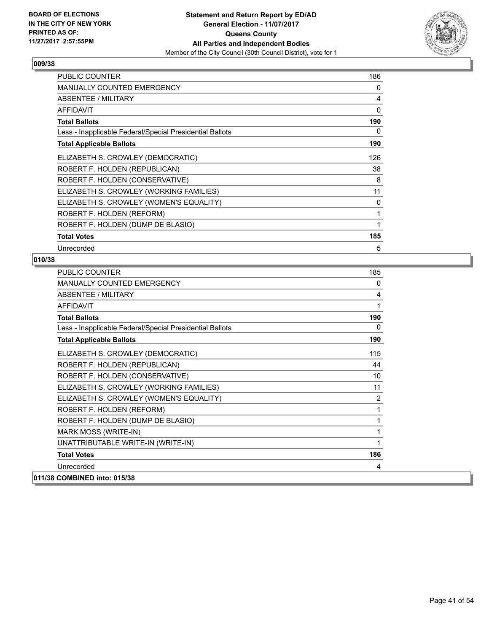

| <b>PUBLIC COUNTER</b>                                    | 186          |
|----------------------------------------------------------|--------------|
| <b>MANUALLY COUNTED EMERGENCY</b>                        | 0            |
| ABSENTEE / MILITARY                                      | 4            |
| <b>AFFIDAVIT</b>                                         | $\mathbf{0}$ |
| <b>Total Ballots</b>                                     | 190          |
| Less - Inapplicable Federal/Special Presidential Ballots | 0            |
| <b>Total Applicable Ballots</b>                          | 190          |
| ELIZABETH S. CROWLEY (DEMOCRATIC)                        | 126          |
| ROBERT F. HOLDEN (REPUBLICAN)                            | 38           |
| ROBERT F. HOLDEN (CONSERVATIVE)                          | 8            |
| ELIZABETH S. CROWLEY (WORKING FAMILIES)                  | 11           |
| ELIZABETH S. CROWLEY (WOMEN'S EQUALITY)                  | 0            |
| ROBERT F. HOLDEN (REFORM)                                | 1            |
| ROBERT F. HOLDEN (DUMP DE BLASIO)                        | 1            |
| <b>Total Votes</b>                                       | 185          |
| Unrecorded                                               | 5            |

| <b>PUBLIC COUNTER</b>                                    | 185             |
|----------------------------------------------------------|-----------------|
| <b>MANUALLY COUNTED EMERGENCY</b>                        | 0               |
| ABSENTEE / MILITARY                                      | 4               |
| <b>AFFIDAVIT</b>                                         | 1               |
| <b>Total Ballots</b>                                     | 190             |
| Less - Inapplicable Federal/Special Presidential Ballots | 0               |
| <b>Total Applicable Ballots</b>                          | 190             |
| ELIZABETH S. CROWLEY (DEMOCRATIC)                        | 115             |
| ROBERT F. HOLDEN (REPUBLICAN)                            | 44              |
| ROBERT F. HOLDEN (CONSERVATIVE)                          | 10 <sup>1</sup> |
| ELIZABETH S. CROWLEY (WORKING FAMILIES)                  | 11              |
| ELIZABETH S. CROWLEY (WOMEN'S EQUALITY)                  | 2               |
| ROBERT F. HOLDEN (REFORM)                                | 1               |
| ROBERT F. HOLDEN (DUMP DE BLASIO)                        | 1               |
| MARK MOSS (WRITE-IN)                                     | 1               |
| UNATTRIBUTABLE WRITE-IN (WRITE-IN)                       | 1               |
| <b>Total Votes</b>                                       | 186             |
| Unrecorded                                               | 4               |
| 011/38 COMBINED into: 015/38                             |                 |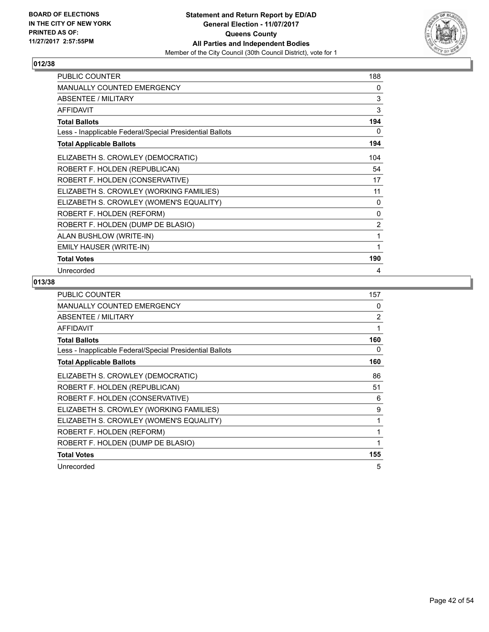

| <b>PUBLIC COUNTER</b>                                    | 188 |
|----------------------------------------------------------|-----|
| MANUALLY COUNTED EMERGENCY                               | 0   |
| ABSENTEE / MILITARY                                      | 3   |
| <b>AFFIDAVIT</b>                                         | 3   |
| <b>Total Ballots</b>                                     | 194 |
| Less - Inapplicable Federal/Special Presidential Ballots | 0   |
| <b>Total Applicable Ballots</b>                          | 194 |
| ELIZABETH S. CROWLEY (DEMOCRATIC)                        | 104 |
| ROBERT F. HOLDEN (REPUBLICAN)                            | 54  |
| ROBERT F. HOLDEN (CONSERVATIVE)                          | 17  |
| ELIZABETH S. CROWLEY (WORKING FAMILIES)                  | 11  |
| ELIZABETH S. CROWLEY (WOMEN'S EQUALITY)                  | 0   |
| ROBERT F. HOLDEN (REFORM)                                | 0   |
| ROBERT F. HOLDEN (DUMP DE BLASIO)                        | 2   |
| ALAN BUSHLOW (WRITE-IN)                                  | 1   |
| EMILY HAUSER (WRITE-IN)                                  | 1   |
| <b>Total Votes</b>                                       | 190 |
| Unrecorded                                               | 4   |

| <b>PUBLIC COUNTER</b>                                    | 157 |
|----------------------------------------------------------|-----|
| <b>MANUALLY COUNTED EMERGENCY</b>                        | 0   |
| ABSENTEE / MILITARY                                      | 2   |
| <b>AFFIDAVIT</b>                                         | 1   |
| <b>Total Ballots</b>                                     | 160 |
| Less - Inapplicable Federal/Special Presidential Ballots | 0   |
| <b>Total Applicable Ballots</b>                          | 160 |
| ELIZABETH S. CROWLEY (DEMOCRATIC)                        | 86  |
| ROBERT F. HOLDEN (REPUBLICAN)                            | 51  |
| ROBERT F. HOLDEN (CONSERVATIVE)                          | 6   |
| ELIZABETH S. CROWLEY (WORKING FAMILIES)                  | 9   |
| ELIZABETH S. CROWLEY (WOMEN'S EQUALITY)                  | 1   |
| ROBERT F. HOLDEN (REFORM)                                |     |
| ROBERT F. HOLDEN (DUMP DE BLASIO)                        |     |
| <b>Total Votes</b>                                       | 155 |
| Unrecorded                                               | 5   |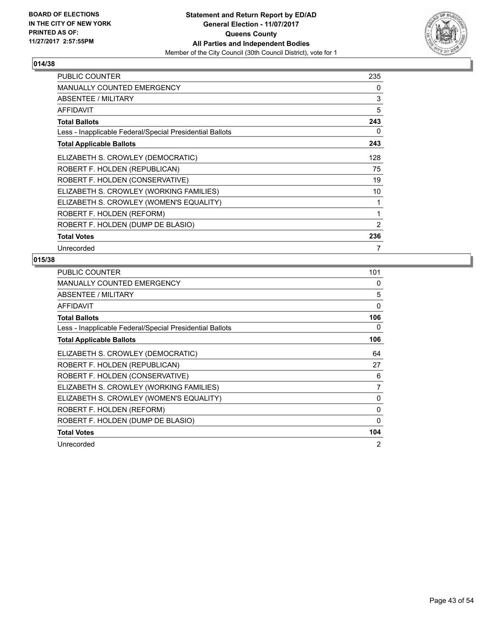

| <b>PUBLIC COUNTER</b>                                    | 235            |
|----------------------------------------------------------|----------------|
| <b>MANUALLY COUNTED EMERGENCY</b>                        | 0              |
| ABSENTEE / MILITARY                                      | 3              |
| <b>AFFIDAVIT</b>                                         | 5              |
| <b>Total Ballots</b>                                     | 243            |
| Less - Inapplicable Federal/Special Presidential Ballots | 0              |
| <b>Total Applicable Ballots</b>                          | 243            |
| ELIZABETH S. CROWLEY (DEMOCRATIC)                        | 128            |
| ROBERT F. HOLDEN (REPUBLICAN)                            | 75             |
| ROBERT F. HOLDEN (CONSERVATIVE)                          | 19             |
| ELIZABETH S. CROWLEY (WORKING FAMILIES)                  | 10             |
| ELIZABETH S. CROWLEY (WOMEN'S EQUALITY)                  | 1              |
| ROBERT F. HOLDEN (REFORM)                                | 1              |
| ROBERT F. HOLDEN (DUMP DE BLASIO)                        | $\overline{2}$ |
| <b>Total Votes</b>                                       | 236            |
| Unrecorded                                               | 7              |

| <b>PUBLIC COUNTER</b>                                    | 101      |
|----------------------------------------------------------|----------|
| <b>MANUALLY COUNTED EMERGENCY</b>                        | 0        |
| ABSENTEE / MILITARY                                      | 5        |
| <b>AFFIDAVIT</b>                                         | $\Omega$ |
| <b>Total Ballots</b>                                     | 106      |
| Less - Inapplicable Federal/Special Presidential Ballots | 0        |
| <b>Total Applicable Ballots</b>                          | 106      |
| ELIZABETH S. CROWLEY (DEMOCRATIC)                        | 64       |
| ROBERT F. HOLDEN (REPUBLICAN)                            | 27       |
| ROBERT F. HOLDEN (CONSERVATIVE)                          | 6        |
| ELIZABETH S. CROWLEY (WORKING FAMILIES)                  | 7        |
| ELIZABETH S. CROWLEY (WOMEN'S EQUALITY)                  | 0        |
| ROBERT F. HOLDEN (REFORM)                                | 0        |
| ROBERT F. HOLDEN (DUMP DE BLASIO)                        | 0        |
| <b>Total Votes</b>                                       | 104      |
| Unrecorded                                               | 2        |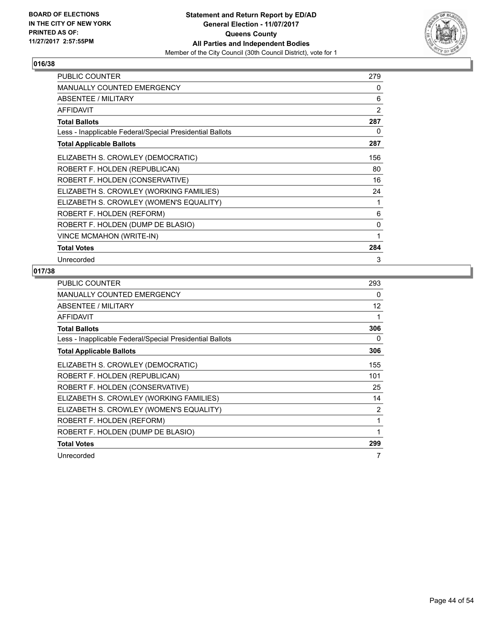

| PUBLIC COUNTER                                           | 279            |
|----------------------------------------------------------|----------------|
| MANUALLY COUNTED EMERGENCY                               | 0              |
| <b>ABSENTEE / MILITARY</b>                               | 6              |
| <b>AFFIDAVIT</b>                                         | $\overline{2}$ |
| <b>Total Ballots</b>                                     | 287            |
| Less - Inapplicable Federal/Special Presidential Ballots | 0              |
| <b>Total Applicable Ballots</b>                          | 287            |
| ELIZABETH S. CROWLEY (DEMOCRATIC)                        | 156            |
| ROBERT F. HOLDEN (REPUBLICAN)                            | 80             |
| ROBERT F. HOLDEN (CONSERVATIVE)                          | 16             |
| ELIZABETH S. CROWLEY (WORKING FAMILIES)                  | 24             |
| ELIZABETH S. CROWLEY (WOMEN'S EQUALITY)                  | 1              |
| ROBERT F. HOLDEN (REFORM)                                | 6              |
| ROBERT F. HOLDEN (DUMP DE BLASIO)                        | 0              |
| VINCE MCMAHON (WRITE-IN)                                 | 1              |
| <b>Total Votes</b>                                       | 284            |
| Unrecorded                                               | 3              |

| <b>PUBLIC COUNTER</b>                                    | 293 |
|----------------------------------------------------------|-----|
| <b>MANUALLY COUNTED EMERGENCY</b>                        | 0   |
| <b>ABSENTEE / MILITARY</b>                               | 12  |
| <b>AFFIDAVIT</b>                                         | 1   |
| <b>Total Ballots</b>                                     | 306 |
| Less - Inapplicable Federal/Special Presidential Ballots | 0   |
| <b>Total Applicable Ballots</b>                          | 306 |
| ELIZABETH S. CROWLEY (DEMOCRATIC)                        | 155 |
| ROBERT F. HOLDEN (REPUBLICAN)                            | 101 |
| ROBERT F. HOLDEN (CONSERVATIVE)                          | 25  |
| ELIZABETH S. CROWLEY (WORKING FAMILIES)                  | 14  |
| ELIZABETH S. CROWLEY (WOMEN'S EQUALITY)                  | 2   |
| ROBERT F. HOLDEN (REFORM)                                | 1   |
| ROBERT F. HOLDEN (DUMP DE BLASIO)                        | 1   |
| <b>Total Votes</b>                                       | 299 |
| Unrecorded                                               | 7   |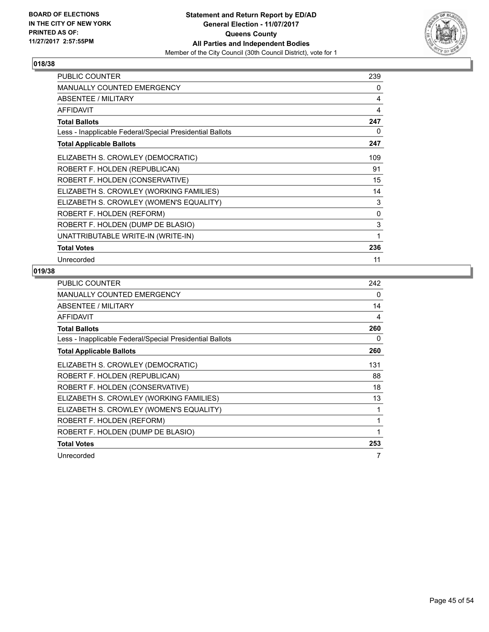

| PUBLIC COUNTER                                           | 239 |
|----------------------------------------------------------|-----|
| <b>MANUALLY COUNTED EMERGENCY</b>                        | 0   |
| <b>ABSENTEE / MILITARY</b>                               | 4   |
| <b>AFFIDAVIT</b>                                         | 4   |
| <b>Total Ballots</b>                                     | 247 |
| Less - Inapplicable Federal/Special Presidential Ballots | 0   |
| <b>Total Applicable Ballots</b>                          | 247 |
| ELIZABETH S. CROWLEY (DEMOCRATIC)                        | 109 |
| ROBERT F. HOLDEN (REPUBLICAN)                            | 91  |
| ROBERT F. HOLDEN (CONSERVATIVE)                          | 15  |
| ELIZABETH S. CROWLEY (WORKING FAMILIES)                  | 14  |
| ELIZABETH S. CROWLEY (WOMEN'S EQUALITY)                  | 3   |
| ROBERT F. HOLDEN (REFORM)                                | 0   |
| ROBERT F. HOLDEN (DUMP DE BLASIO)                        | 3   |
| UNATTRIBUTABLE WRITE-IN (WRITE-IN)                       | 1   |
| <b>Total Votes</b>                                       | 236 |
| Unrecorded                                               | 11  |

| <b>PUBLIC COUNTER</b>                                    | 242 |
|----------------------------------------------------------|-----|
| <b>MANUALLY COUNTED EMERGENCY</b>                        | 0   |
| <b>ABSENTEE / MILITARY</b>                               | 14  |
| <b>AFFIDAVIT</b>                                         | 4   |
| <b>Total Ballots</b>                                     | 260 |
| Less - Inapplicable Federal/Special Presidential Ballots | 0   |
| <b>Total Applicable Ballots</b>                          | 260 |
| ELIZABETH S. CROWLEY (DEMOCRATIC)                        | 131 |
| ROBERT F. HOLDEN (REPUBLICAN)                            | 88  |
| ROBERT F. HOLDEN (CONSERVATIVE)                          | 18  |
| ELIZABETH S. CROWLEY (WORKING FAMILIES)                  | 13  |
| ELIZABETH S. CROWLEY (WOMEN'S EQUALITY)                  | 1   |
| ROBERT F. HOLDEN (REFORM)                                | 1   |
| ROBERT F. HOLDEN (DUMP DE BLASIO)                        | 1   |
| <b>Total Votes</b>                                       | 253 |
| Unrecorded                                               | 7   |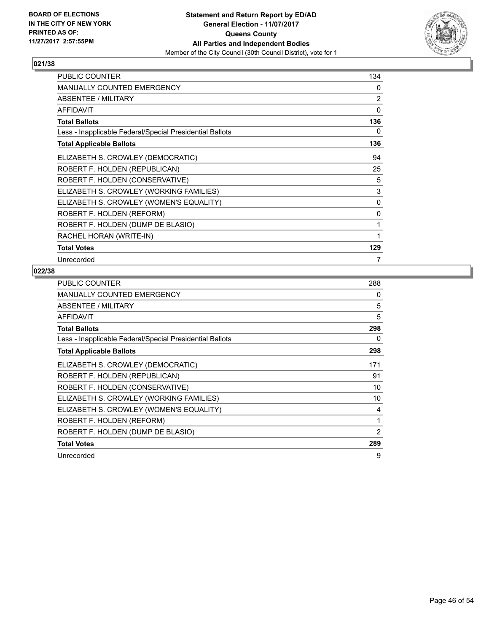

| <b>PUBLIC COUNTER</b>                                    | 134          |
|----------------------------------------------------------|--------------|
| <b>MANUALLY COUNTED EMERGENCY</b>                        | 0            |
| <b>ABSENTEE / MILITARY</b>                               | 2            |
| <b>AFFIDAVIT</b>                                         | $\Omega$     |
| <b>Total Ballots</b>                                     | 136          |
| Less - Inapplicable Federal/Special Presidential Ballots | 0            |
| <b>Total Applicable Ballots</b>                          | 136          |
| ELIZABETH S. CROWLEY (DEMOCRATIC)                        | 94           |
| ROBERT F. HOLDEN (REPUBLICAN)                            | 25           |
| ROBERT F. HOLDEN (CONSERVATIVE)                          | 5            |
| ELIZABETH S. CROWLEY (WORKING FAMILIES)                  | 3            |
| ELIZABETH S. CROWLEY (WOMEN'S EQUALITY)                  | 0            |
| ROBERT F. HOLDEN (REFORM)                                | $\mathbf{0}$ |
| ROBERT F. HOLDEN (DUMP DE BLASIO)                        | 1            |
| RACHEL HORAN (WRITE-IN)                                  | 1            |
| <b>Total Votes</b>                                       | 129          |
| Unrecorded                                               | 7            |

| <b>PUBLIC COUNTER</b>                                    | 288 |
|----------------------------------------------------------|-----|
| <b>MANUALLY COUNTED EMERGENCY</b>                        | 0   |
| ABSENTEE / MILITARY                                      | 5   |
| <b>AFFIDAVIT</b>                                         | 5   |
| <b>Total Ballots</b>                                     | 298 |
| Less - Inapplicable Federal/Special Presidential Ballots | 0   |
| <b>Total Applicable Ballots</b>                          | 298 |
| ELIZABETH S. CROWLEY (DEMOCRATIC)                        | 171 |
| ROBERT F. HOLDEN (REPUBLICAN)                            | 91  |
| ROBERT F. HOLDEN (CONSERVATIVE)                          | 10  |
| ELIZABETH S. CROWLEY (WORKING FAMILIES)                  | 10  |
| ELIZABETH S. CROWLEY (WOMEN'S EQUALITY)                  | 4   |
| ROBERT F. HOLDEN (REFORM)                                | 1   |
| ROBERT F. HOLDEN (DUMP DE BLASIO)                        | 2   |
| <b>Total Votes</b>                                       | 289 |
| Unrecorded                                               | 9   |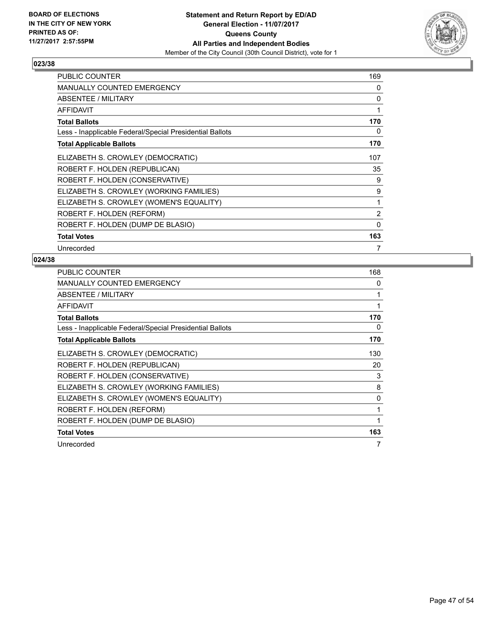

| <b>PUBLIC COUNTER</b>                                    | 169      |
|----------------------------------------------------------|----------|
| <b>MANUALLY COUNTED EMERGENCY</b>                        | 0        |
| ABSENTEE / MILITARY                                      | 0        |
| <b>AFFIDAVIT</b>                                         | 1        |
| <b>Total Ballots</b>                                     | 170      |
| Less - Inapplicable Federal/Special Presidential Ballots | 0        |
| <b>Total Applicable Ballots</b>                          | 170      |
| ELIZABETH S. CROWLEY (DEMOCRATIC)                        | 107      |
| ROBERT F. HOLDEN (REPUBLICAN)                            | 35       |
| ROBERT F. HOLDEN (CONSERVATIVE)                          | 9        |
| ELIZABETH S. CROWLEY (WORKING FAMILIES)                  | 9        |
| ELIZABETH S. CROWLEY (WOMEN'S EQUALITY)                  | 1        |
| ROBERT F. HOLDEN (REFORM)                                | 2        |
| ROBERT F. HOLDEN (DUMP DE BLASIO)                        | $\Omega$ |
| <b>Total Votes</b>                                       | 163      |
| Unrecorded                                               | 7        |

| <b>PUBLIC COUNTER</b>                                    | 168 |
|----------------------------------------------------------|-----|
| <b>MANUALLY COUNTED EMERGENCY</b>                        | 0   |
| ABSENTEE / MILITARY                                      | 1   |
| <b>AFFIDAVIT</b>                                         | 1   |
| <b>Total Ballots</b>                                     | 170 |
| Less - Inapplicable Federal/Special Presidential Ballots | 0   |
| <b>Total Applicable Ballots</b>                          | 170 |
| ELIZABETH S. CROWLEY (DEMOCRATIC)                        | 130 |
| ROBERT F. HOLDEN (REPUBLICAN)                            | 20  |
| ROBERT F. HOLDEN (CONSERVATIVE)                          | 3   |
| ELIZABETH S. CROWLEY (WORKING FAMILIES)                  | 8   |
| ELIZABETH S. CROWLEY (WOMEN'S EQUALITY)                  | 0   |
| ROBERT F. HOLDEN (REFORM)                                | 1   |
| ROBERT F. HOLDEN (DUMP DE BLASIO)                        | 1   |
| <b>Total Votes</b>                                       | 163 |
| Unrecorded                                               | 7   |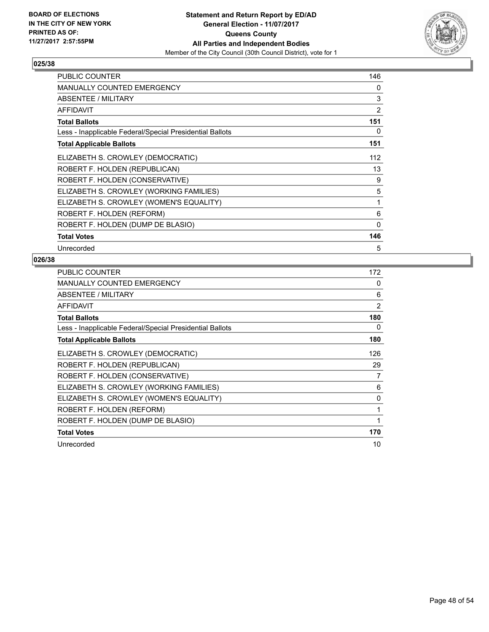

| <b>PUBLIC COUNTER</b>                                    | 146            |
|----------------------------------------------------------|----------------|
| <b>MANUALLY COUNTED EMERGENCY</b>                        | 0              |
| ABSENTEE / MILITARY                                      | 3              |
| <b>AFFIDAVIT</b>                                         | $\overline{2}$ |
| <b>Total Ballots</b>                                     | 151            |
| Less - Inapplicable Federal/Special Presidential Ballots | 0              |
| <b>Total Applicable Ballots</b>                          | 151            |
| ELIZABETH S. CROWLEY (DEMOCRATIC)                        | 112            |
| ROBERT F. HOLDEN (REPUBLICAN)                            | 13             |
| ROBERT F. HOLDEN (CONSERVATIVE)                          | 9              |
| ELIZABETH S. CROWLEY (WORKING FAMILIES)                  | 5              |
| ELIZABETH S. CROWLEY (WOMEN'S EQUALITY)                  | 1              |
| ROBERT F. HOLDEN (REFORM)                                | 6              |
| ROBERT F. HOLDEN (DUMP DE BLASIO)                        | 0              |
| <b>Total Votes</b>                                       | 146            |
| Unrecorded                                               | 5              |

| <b>PUBLIC COUNTER</b>                                    | 172            |
|----------------------------------------------------------|----------------|
| <b>MANUALLY COUNTED EMERGENCY</b>                        | 0              |
| ABSENTEE / MILITARY                                      | 6              |
| <b>AFFIDAVIT</b>                                         | $\overline{2}$ |
| <b>Total Ballots</b>                                     | 180            |
| Less - Inapplicable Federal/Special Presidential Ballots | 0              |
| <b>Total Applicable Ballots</b>                          | 180            |
| ELIZABETH S. CROWLEY (DEMOCRATIC)                        | 126            |
| ROBERT F. HOLDEN (REPUBLICAN)                            | 29             |
| ROBERT F. HOLDEN (CONSERVATIVE)                          | 7              |
| ELIZABETH S. CROWLEY (WORKING FAMILIES)                  | 6              |
| ELIZABETH S. CROWLEY (WOMEN'S EQUALITY)                  | 0              |
| ROBERT F. HOLDEN (REFORM)                                | 1              |
| ROBERT F. HOLDEN (DUMP DE BLASIO)                        | 1              |
| <b>Total Votes</b>                                       | 170            |
| Unrecorded                                               | 10             |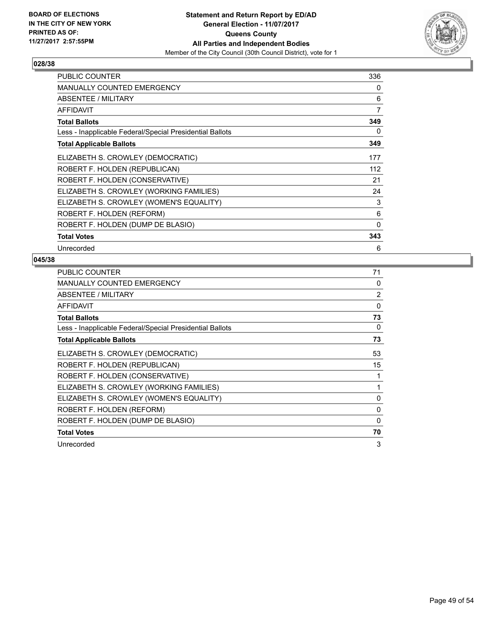

| PUBLIC COUNTER                                           | 336 |
|----------------------------------------------------------|-----|
| <b>MANUALLY COUNTED EMERGENCY</b>                        | 0   |
| ABSENTEE / MILITARY                                      | 6   |
| <b>AFFIDAVIT</b>                                         | 7   |
| <b>Total Ballots</b>                                     | 349 |
| Less - Inapplicable Federal/Special Presidential Ballots | 0   |
| <b>Total Applicable Ballots</b>                          | 349 |
| ELIZABETH S. CROWLEY (DEMOCRATIC)                        | 177 |
| ROBERT F. HOLDEN (REPUBLICAN)                            | 112 |
| ROBERT F. HOLDEN (CONSERVATIVE)                          | 21  |
| ELIZABETH S. CROWLEY (WORKING FAMILIES)                  | 24  |
| ELIZABETH S. CROWLEY (WOMEN'S EQUALITY)                  | 3   |
| ROBERT F. HOLDEN (REFORM)                                | 6   |
| ROBERT F. HOLDEN (DUMP DE BLASIO)                        | 0   |
| <b>Total Votes</b>                                       | 343 |
| Unrecorded                                               | 6   |

| <b>PUBLIC COUNTER</b>                                    | 71             |
|----------------------------------------------------------|----------------|
| <b>MANUALLY COUNTED EMERGENCY</b>                        | 0              |
| <b>ABSENTEE / MILITARY</b>                               | $\overline{2}$ |
| AFFIDAVIT                                                | $\Omega$       |
| <b>Total Ballots</b>                                     | 73             |
| Less - Inapplicable Federal/Special Presidential Ballots | 0              |
| <b>Total Applicable Ballots</b>                          | 73             |
| ELIZABETH S. CROWLEY (DEMOCRATIC)                        | 53             |
| ROBERT F. HOLDEN (REPUBLICAN)                            | 15             |
| ROBERT F. HOLDEN (CONSERVATIVE)                          |                |
| ELIZABETH S. CROWLEY (WORKING FAMILIES)                  | 1              |
| ELIZABETH S. CROWLEY (WOMEN'S EQUALITY)                  | $\Omega$       |
| ROBERT F. HOLDEN (REFORM)                                | $\Omega$       |
| ROBERT F. HOLDEN (DUMP DE BLASIO)                        | 0              |
| <b>Total Votes</b>                                       | 70             |
| Unrecorded                                               | 3              |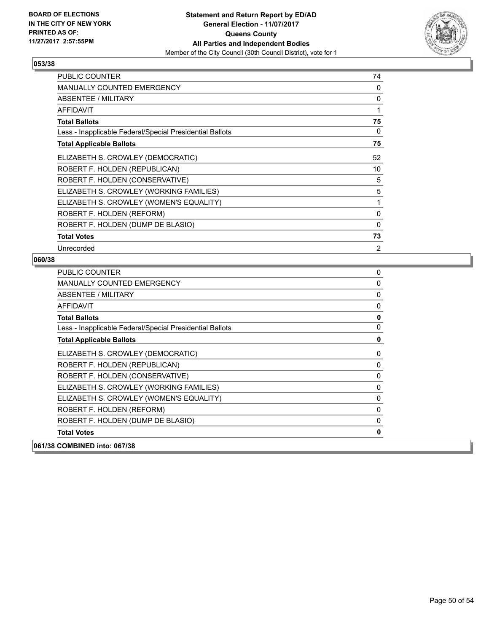

| <b>PUBLIC COUNTER</b>                                    | 74             |
|----------------------------------------------------------|----------------|
| <b>MANUALLY COUNTED EMERGENCY</b>                        | 0              |
| ABSENTEE / MILITARY                                      | 0              |
| <b>AFFIDAVIT</b>                                         | 1              |
| <b>Total Ballots</b>                                     | 75             |
| Less - Inapplicable Federal/Special Presidential Ballots | 0              |
| <b>Total Applicable Ballots</b>                          | 75             |
| ELIZABETH S. CROWLEY (DEMOCRATIC)                        | 52             |
| ROBERT F. HOLDEN (REPUBLICAN)                            | 10             |
| ROBERT F. HOLDEN (CONSERVATIVE)                          | 5              |
| ELIZABETH S. CROWLEY (WORKING FAMILIES)                  | 5              |
| ELIZABETH S. CROWLEY (WOMEN'S EQUALITY)                  | 1              |
| ROBERT F. HOLDEN (REFORM)                                | 0              |
| ROBERT F. HOLDEN (DUMP DE BLASIO)                        | 0              |
| <b>Total Votes</b>                                       | 73             |
| Unrecorded                                               | $\overline{2}$ |

| <b>PUBLIC COUNTER</b>                                    | 0            |
|----------------------------------------------------------|--------------|
| <b>MANUALLY COUNTED EMERGENCY</b>                        | 0            |
| <b>ABSENTEE / MILITARY</b>                               | 0            |
| <b>AFFIDAVIT</b>                                         | $\mathbf{0}$ |
| <b>Total Ballots</b>                                     | $\mathbf 0$  |
| Less - Inapplicable Federal/Special Presidential Ballots | 0            |
| <b>Total Applicable Ballots</b>                          | $\mathbf 0$  |
| ELIZABETH S. CROWLEY (DEMOCRATIC)                        | 0            |
| ROBERT F. HOLDEN (REPUBLICAN)                            | 0            |
| ROBERT F. HOLDEN (CONSERVATIVE)                          | 0            |
| ELIZABETH S. CROWLEY (WORKING FAMILIES)                  | 0            |
| ELIZABETH S. CROWLEY (WOMEN'S EQUALITY)                  | 0            |
| ROBERT F. HOLDEN (REFORM)                                | 0            |
| ROBERT F. HOLDEN (DUMP DE BLASIO)                        | 0            |
| <b>Total Votes</b>                                       | 0            |
| 061/38 COMBINED into: 067/38                             |              |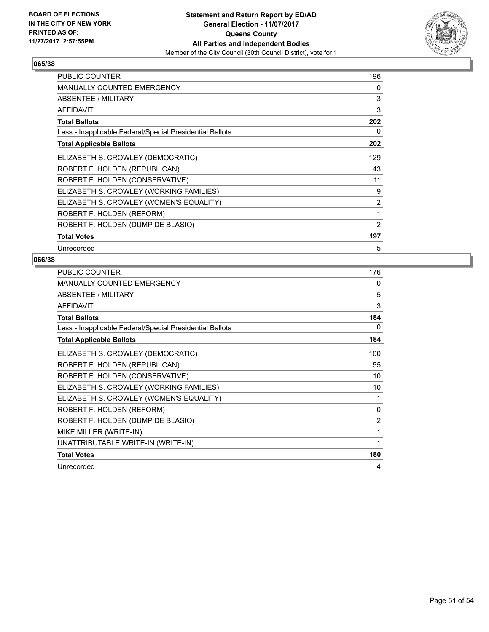

| <b>PUBLIC COUNTER</b>                                    | 196 |
|----------------------------------------------------------|-----|
| <b>MANUALLY COUNTED EMERGENCY</b>                        | 0   |
| ABSENTEE / MILITARY                                      | 3   |
| <b>AFFIDAVIT</b>                                         | 3   |
| <b>Total Ballots</b>                                     | 202 |
| Less - Inapplicable Federal/Special Presidential Ballots | 0   |
| <b>Total Applicable Ballots</b>                          | 202 |
| ELIZABETH S. CROWLEY (DEMOCRATIC)                        | 129 |
| ROBERT F. HOLDEN (REPUBLICAN)                            | 43  |
| ROBERT F. HOLDEN (CONSERVATIVE)                          | 11  |
| ELIZABETH S. CROWLEY (WORKING FAMILIES)                  | 9   |
| ELIZABETH S. CROWLEY (WOMEN'S EQUALITY)                  | 2   |
| ROBERT F. HOLDEN (REFORM)                                | 1   |
| ROBERT F. HOLDEN (DUMP DE BLASIO)                        | 2   |
| <b>Total Votes</b>                                       | 197 |
| Unrecorded                                               | 5   |

| <b>PUBLIC COUNTER</b>                                    | 176          |
|----------------------------------------------------------|--------------|
| MANUALLY COUNTED EMERGENCY                               | 0            |
| ABSENTEE / MILITARY                                      | 5            |
| <b>AFFIDAVIT</b>                                         | 3            |
| <b>Total Ballots</b>                                     | 184          |
| Less - Inapplicable Federal/Special Presidential Ballots | 0            |
| <b>Total Applicable Ballots</b>                          | 184          |
| ELIZABETH S. CROWLEY (DEMOCRATIC)                        | 100          |
| ROBERT F. HOLDEN (REPUBLICAN)                            | 55           |
| ROBERT F. HOLDEN (CONSERVATIVE)                          | 10           |
| ELIZABETH S. CROWLEY (WORKING FAMILIES)                  | 10           |
| ELIZABETH S. CROWLEY (WOMEN'S EQUALITY)                  | 1            |
| ROBERT F. HOLDEN (REFORM)                                | $\mathbf{0}$ |
| ROBERT F. HOLDEN (DUMP DE BLASIO)                        | 2            |
| MIKE MILLER (WRITE-IN)                                   | 1            |
| UNATTRIBUTABLE WRITE-IN (WRITE-IN)                       | 1            |
| <b>Total Votes</b>                                       | 180          |
| Unrecorded                                               | 4            |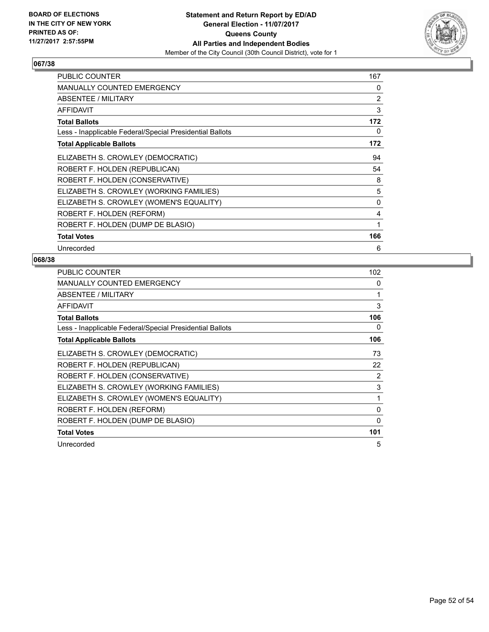

| <b>PUBLIC COUNTER</b>                                    | 167          |
|----------------------------------------------------------|--------------|
| <b>MANUALLY COUNTED EMERGENCY</b>                        | 0            |
| ABSENTEE / MILITARY                                      | 2            |
| <b>AFFIDAVIT</b>                                         | 3            |
| <b>Total Ballots</b>                                     | 172          |
| Less - Inapplicable Federal/Special Presidential Ballots | 0            |
| <b>Total Applicable Ballots</b>                          | 172          |
| ELIZABETH S. CROWLEY (DEMOCRATIC)                        | 94           |
| ROBERT F. HOLDEN (REPUBLICAN)                            | 54           |
| ROBERT F. HOLDEN (CONSERVATIVE)                          | 8            |
| ELIZABETH S. CROWLEY (WORKING FAMILIES)                  | 5            |
| ELIZABETH S. CROWLEY (WOMEN'S EQUALITY)                  | $\mathbf{0}$ |
| ROBERT F. HOLDEN (REFORM)                                | 4            |
| ROBERT F. HOLDEN (DUMP DE BLASIO)                        | 1            |
| <b>Total Votes</b>                                       | 166          |
| Unrecorded                                               | 6            |

| <b>PUBLIC COUNTER</b>                                    | 102          |
|----------------------------------------------------------|--------------|
| <b>MANUALLY COUNTED EMERGENCY</b>                        | 0            |
| ABSENTEE / MILITARY                                      | 1            |
| <b>AFFIDAVIT</b>                                         | 3            |
| <b>Total Ballots</b>                                     | 106          |
| Less - Inapplicable Federal/Special Presidential Ballots | 0            |
| <b>Total Applicable Ballots</b>                          | 106          |
| ELIZABETH S. CROWLEY (DEMOCRATIC)                        | 73           |
| ROBERT F. HOLDEN (REPUBLICAN)                            | 22           |
| ROBERT F. HOLDEN (CONSERVATIVE)                          | 2            |
| ELIZABETH S. CROWLEY (WORKING FAMILIES)                  | 3            |
| ELIZABETH S. CROWLEY (WOMEN'S EQUALITY)                  | 1            |
| ROBERT F. HOLDEN (REFORM)                                | $\mathbf{0}$ |
| ROBERT F. HOLDEN (DUMP DE BLASIO)                        | 0            |
| <b>Total Votes</b>                                       | 101          |
| Unrecorded                                               | 5            |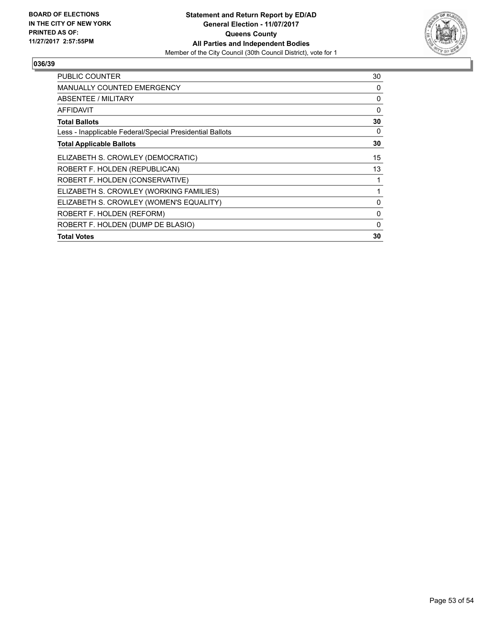

| PUBLIC COUNTER                                           | 30 |
|----------------------------------------------------------|----|
| <b>MANUALLY COUNTED EMERGENCY</b>                        | 0  |
| ABSENTEE / MILITARY                                      | 0  |
| AFFIDAVIT                                                | 0  |
| <b>Total Ballots</b>                                     | 30 |
| Less - Inapplicable Federal/Special Presidential Ballots | 0  |
| <b>Total Applicable Ballots</b>                          | 30 |
| ELIZABETH S. CROWLEY (DEMOCRATIC)                        | 15 |
| ROBERT F. HOLDEN (REPUBLICAN)                            | 13 |
| ROBERT F. HOLDEN (CONSERVATIVE)                          | 1  |
| ELIZABETH S. CROWLEY (WORKING FAMILIES)                  | 1  |
| ELIZABETH S. CROWLEY (WOMEN'S EQUALITY)                  | 0  |
| ROBERT F. HOLDEN (REFORM)                                | 0  |
| ROBERT F. HOLDEN (DUMP DE BLASIO)                        | 0  |
| <b>Total Votes</b>                                       | 30 |